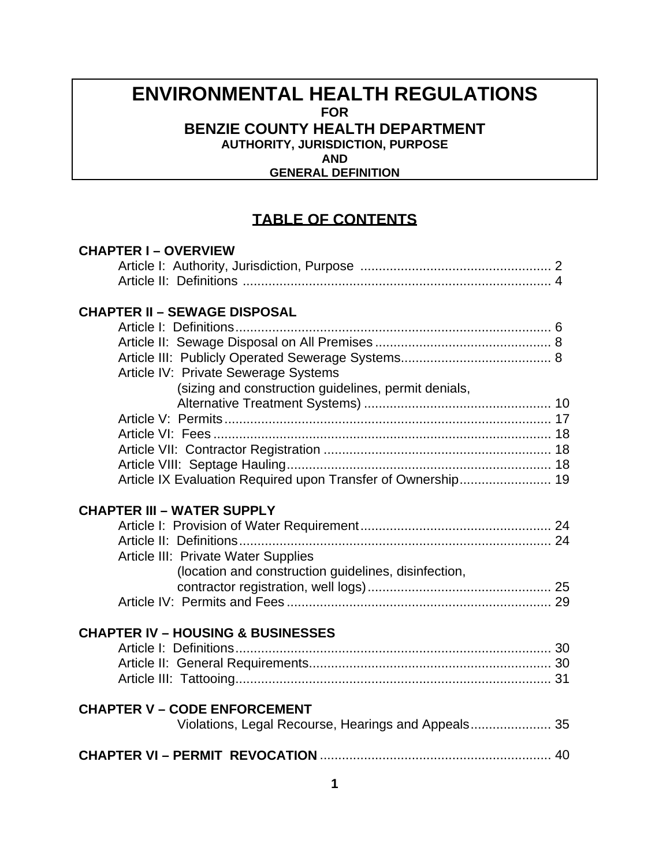## **ENVIRONMENTAL HEALTH REGULATIONS FOR BENZIE COUNTY HEALTH DEPARTMENT AUTHORITY, JURISDICTION, PURPOSE AND**

 **GENERAL DEFINITION**

## **TABLE OF CONTENTS**

| <b>CHAPTER I-OVERVIEW</b>                                    |  |  |  |  |  |
|--------------------------------------------------------------|--|--|--|--|--|
|                                                              |  |  |  |  |  |
|                                                              |  |  |  |  |  |
|                                                              |  |  |  |  |  |
| <b>CHAPTER II - SEWAGE DISPOSAL</b>                          |  |  |  |  |  |
|                                                              |  |  |  |  |  |
|                                                              |  |  |  |  |  |
|                                                              |  |  |  |  |  |
| Article IV: Private Sewerage Systems                         |  |  |  |  |  |
| (sizing and construction guidelines, permit denials,         |  |  |  |  |  |
|                                                              |  |  |  |  |  |
|                                                              |  |  |  |  |  |
|                                                              |  |  |  |  |  |
|                                                              |  |  |  |  |  |
|                                                              |  |  |  |  |  |
| Article IX Evaluation Required upon Transfer of Ownership 19 |  |  |  |  |  |
|                                                              |  |  |  |  |  |
| <b>CHAPTER III - WATER SUPPLY</b>                            |  |  |  |  |  |
|                                                              |  |  |  |  |  |
|                                                              |  |  |  |  |  |
| Article III: Private Water Supplies                          |  |  |  |  |  |
| (location and construction guidelines, disinfection,         |  |  |  |  |  |
|                                                              |  |  |  |  |  |
|                                                              |  |  |  |  |  |
|                                                              |  |  |  |  |  |
| <b>CHAPTER IV - HOUSING &amp; BUSINESSES</b>                 |  |  |  |  |  |
|                                                              |  |  |  |  |  |
|                                                              |  |  |  |  |  |
|                                                              |  |  |  |  |  |
| <b>CHAPTER V - CODE ENFORCEMENT</b>                          |  |  |  |  |  |
|                                                              |  |  |  |  |  |
|                                                              |  |  |  |  |  |
|                                                              |  |  |  |  |  |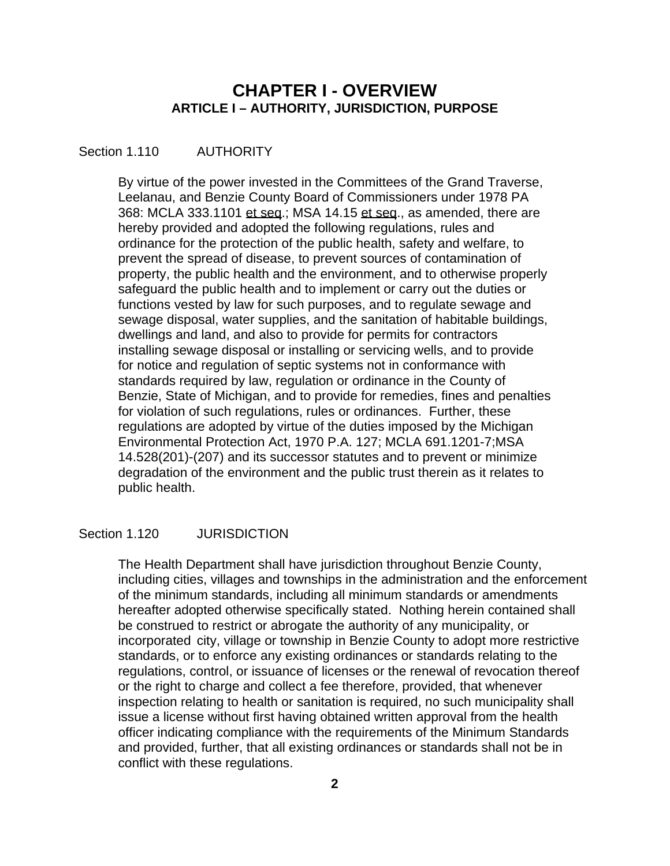## **CHAPTER I - OVERVIEW ARTICLE I – AUTHORITY, JURISDICTION, PURPOSE**

#### Section 1.110 **AUTHORITY**

 By virtue of the power invested in the Committees of the Grand Traverse, Leelanau, and Benzie County Board of Commissioners under 1978 PA 368: MCLA 333.1101 et seq.; MSA 14.15 et seq., as amended, there are hereby provided and adopted the following regulations, rules and ordinance for the protection of the public health, safety and welfare, to prevent the spread of disease, to prevent sources of contamination of property, the public health and the environment, and to otherwise properly safeguard the public health and to implement or carry out the duties or functions vested by law for such purposes, and to regulate sewage and sewage disposal, water supplies, and the sanitation of habitable buildings, dwellings and land, and also to provide for permits for contractors installing sewage disposal or installing or servicing wells, and to provide for notice and regulation of septic systems not in conformance with standards required by law, regulation or ordinance in the County of Benzie, State of Michigan, and to provide for remedies, fines and penalties for violation of such regulations, rules or ordinances. Further, these regulations are adopted by virtue of the duties imposed by the Michigan Environmental Protection Act, 1970 P.A. 127; MCLA 691.1201-7;MSA 14.528(201)-(207) and its successor statutes and to prevent or minimize degradation of the environment and the public trust therein as it relates to public health.

#### Section 1.120 JURISDICTION

 The Health Department shall have jurisdiction throughout Benzie County, including cities, villages and townships in the administration and the enforcement of the minimum standards, including all minimum standards or amendments hereafter adopted otherwise specifically stated. Nothing herein contained shall be construed to restrict or abrogate the authority of any municipality, or incorporated city, village or township in Benzie County to adopt more restrictive standards, or to enforce any existing ordinances or standards relating to the regulations, control, or issuance of licenses or the renewal of revocation thereof or the right to charge and collect a fee therefore, provided, that whenever inspection relating to health or sanitation is required, no such municipality shall issue a license without first having obtained written approval from the health officer indicating compliance with the requirements of the Minimum Standards and provided, further, that all existing ordinances or standards shall not be in conflict with these regulations.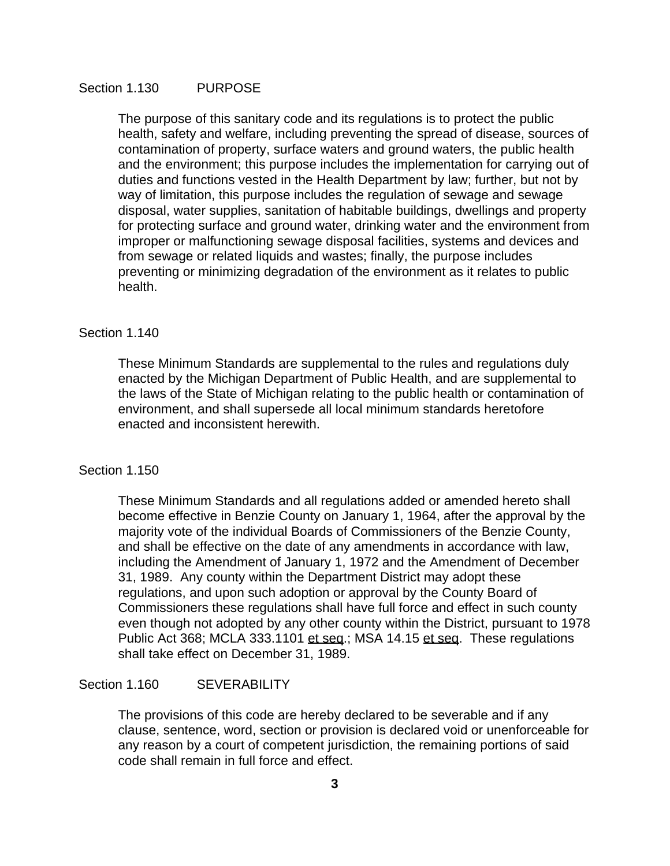## Section 1.130 PURPOSE

 The purpose of this sanitary code and its regulations is to protect the public health, safety and welfare, including preventing the spread of disease, sources of contamination of property, surface waters and ground waters, the public health and the environment; this purpose includes the implementation for carrying out of duties and functions vested in the Health Department by law; further, but not by way of limitation, this purpose includes the regulation of sewage and sewage disposal, water supplies, sanitation of habitable buildings, dwellings and property for protecting surface and ground water, drinking water and the environment from improper or malfunctioning sewage disposal facilities, systems and devices and from sewage or related liquids and wastes; finally, the purpose includes preventing or minimizing degradation of the environment as it relates to public health.

#### Section 1.140

 These Minimum Standards are supplemental to the rules and regulations duly enacted by the Michigan Department of Public Health, and are supplemental to the laws of the State of Michigan relating to the public health or contamination of environment, and shall supersede all local minimum standards heretofore enacted and inconsistent herewith.

#### Section 1.150

 These Minimum Standards and all regulations added or amended hereto shall become effective in Benzie County on January 1, 1964, after the approval by the majority vote of the individual Boards of Commissioners of the Benzie County, and shall be effective on the date of any amendments in accordance with law, including the Amendment of January 1, 1972 and the Amendment of December 31, 1989. Any county within the Department District may adopt these regulations, and upon such adoption or approval by the County Board of Commissioners these regulations shall have full force and effect in such county even though not adopted by any other county within the District, pursuant to 1978 Public Act 368; MCLA 333.1101 et seq.; MSA 14.15 et seq. These regulations shall take effect on December 31, 1989.

## Section 1.160 SEVERABILITY

 The provisions of this code are hereby declared to be severable and if any clause, sentence, word, section or provision is declared void or unenforceable for any reason by a court of competent jurisdiction, the remaining portions of said code shall remain in full force and effect.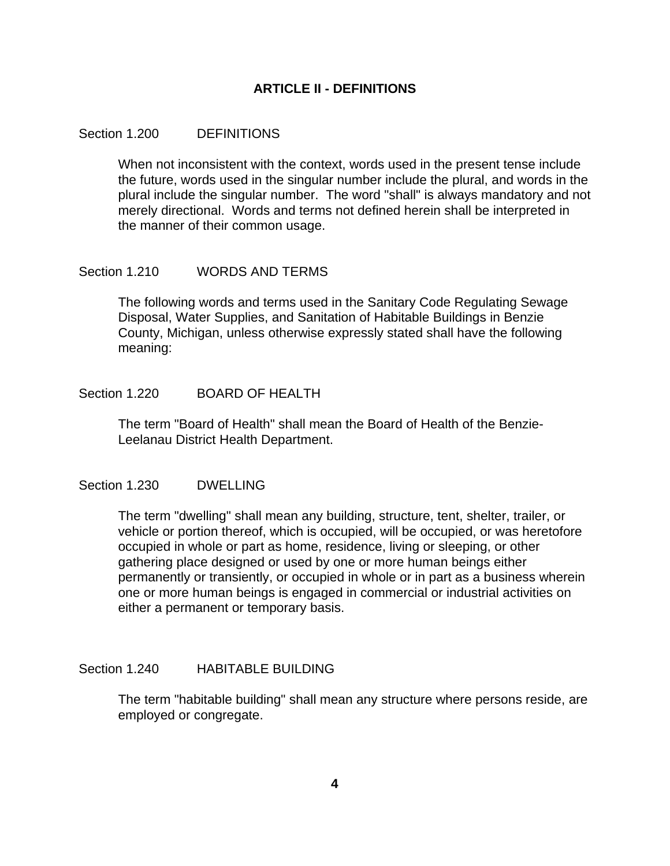## **ARTICLE II - DEFINITIONS**

#### Section 1.200 DEFINITIONS

 When not inconsistent with the context, words used in the present tense include the future, words used in the singular number include the plural, and words in the plural include the singular number. The word "shall" is always mandatory and not merely directional. Words and terms not defined herein shall be interpreted in the manner of their common usage.

#### Section 1.210 WORDS AND TERMS

 The following words and terms used in the Sanitary Code Regulating Sewage Disposal, Water Supplies, and Sanitation of Habitable Buildings in Benzie County, Michigan, unless otherwise expressly stated shall have the following meaning:

#### Section 1.220 BOARD OF HEALTH

 The term "Board of Health" shall mean the Board of Health of the Benzie-Leelanau District Health Department.

#### Section 1.230 DWELLING

 The term "dwelling" shall mean any building, structure, tent, shelter, trailer, or vehicle or portion thereof, which is occupied, will be occupied, or was heretofore occupied in whole or part as home, residence, living or sleeping, or other gathering place designed or used by one or more human beings either permanently or transiently, or occupied in whole or in part as a business wherein one or more human beings is engaged in commercial or industrial activities on either a permanent or temporary basis.

#### Section 1.240 HABITABLE BUILDING

 The term "habitable building" shall mean any structure where persons reside, are employed or congregate.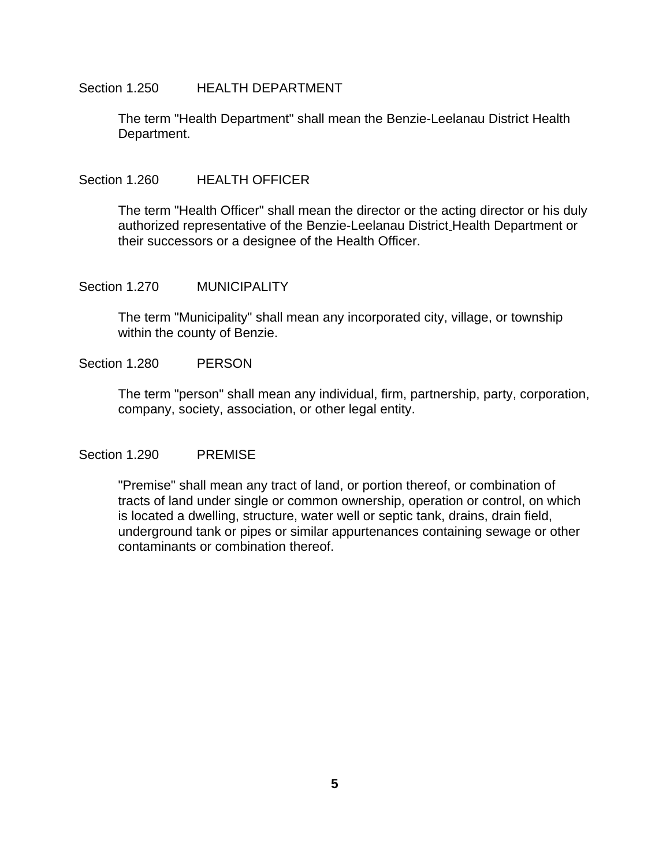#### Section 1.250 HEALTH DEPARTMENT

 The term "Health Department" shall mean the Benzie-Leelanau District Health Department.

#### Section 1.260 HEALTH OFFICER

 The term "Health Officer" shall mean the director or the acting director or his duly authorized representative of the Benzie-Leelanau District Health Department or their successors or a designee of the Health Officer.

#### Section 1.270 MUNICIPALITY

 The term "Municipality" shall mean any incorporated city, village, or township within the county of Benzie.

## Section 1.280 PERSON

 The term "person" shall mean any individual, firm, partnership, party, corporation, company, society, association, or other legal entity.

## Section 1.290 PREMISE

 "Premise" shall mean any tract of land, or portion thereof, or combination of tracts of land under single or common ownership, operation or control, on which is located a dwelling, structure, water well or septic tank, drains, drain field, underground tank or pipes or similar appurtenances containing sewage or other contaminants or combination thereof.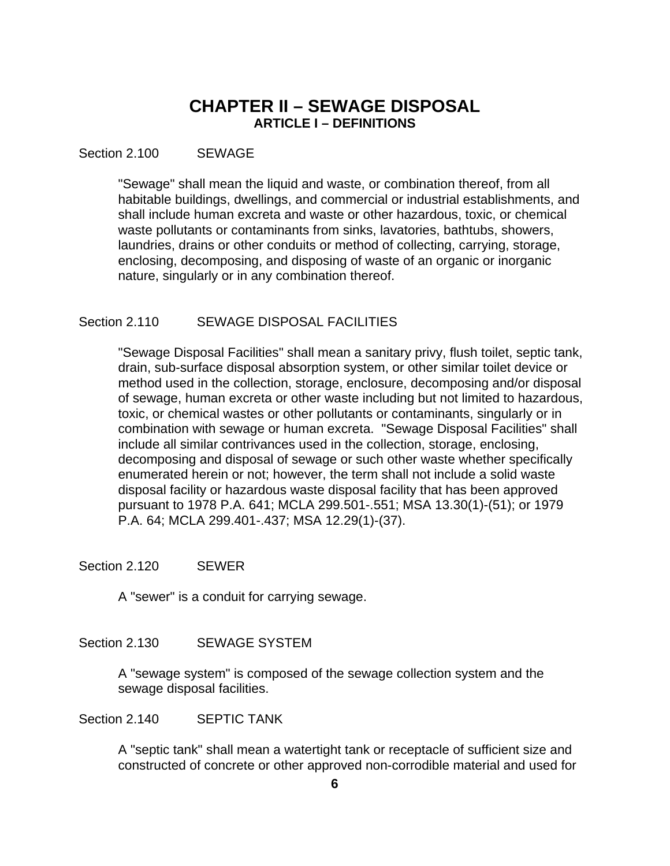## **CHAPTER II – SEWAGE DISPOSAL ARTICLE I – DEFINITIONS**

### Section 2.100 SEWAGE

 "Sewage" shall mean the liquid and waste, or combination thereof, from all habitable buildings, dwellings, and commercial or industrial establishments, and shall include human excreta and waste or other hazardous, toxic, or chemical waste pollutants or contaminants from sinks, lavatories, bathtubs, showers, laundries, drains or other conduits or method of collecting, carrying, storage, enclosing, decomposing, and disposing of waste of an organic or inorganic nature, singularly or in any combination thereof.

#### Section 2.110 SEWAGE DISPOSAL FACILITIES

 "Sewage Disposal Facilities" shall mean a sanitary privy, flush toilet, septic tank, drain, sub-surface disposal absorption system, or other similar toilet device or method used in the collection, storage, enclosure, decomposing and/or disposal of sewage, human excreta or other waste including but not limited to hazardous, toxic, or chemical wastes or other pollutants or contaminants, singularly or in combination with sewage or human excreta. "Sewage Disposal Facilities" shall include all similar contrivances used in the collection, storage, enclosing, decomposing and disposal of sewage or such other waste whether specifically enumerated herein or not; however, the term shall not include a solid waste disposal facility or hazardous waste disposal facility that has been approved pursuant to 1978 P.A. 641; MCLA 299.501-.551; MSA 13.30(1)-(51); or 1979 P.A. 64; MCLA 299.401-.437; MSA 12.29(1)-(37).

#### Section 2.120 SEWER

A "sewer" is a conduit for carrying sewage.

## Section 2.130 SEWAGE SYSTEM

 A "sewage system" is composed of the sewage collection system and the sewage disposal facilities.

Section 2.140 SEPTIC TANK

 A "septic tank" shall mean a watertight tank or receptacle of sufficient size and constructed of concrete or other approved non-corrodible material and used for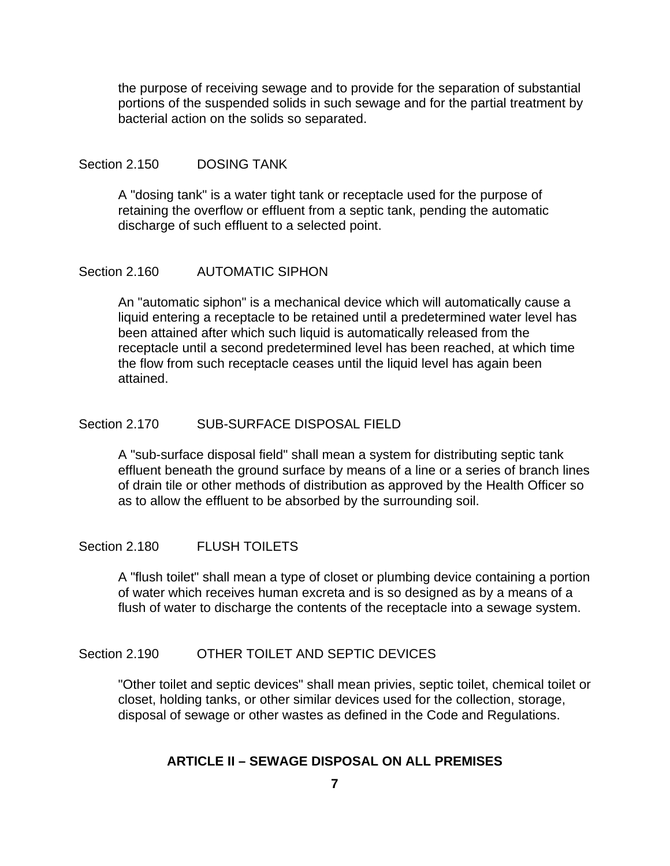the purpose of receiving sewage and to provide for the separation of substantial portions of the suspended solids in such sewage and for the partial treatment by bacterial action on the solids so separated.

## Section 2.150 DOSING TANK

 A "dosing tank" is a water tight tank or receptacle used for the purpose of retaining the overflow or effluent from a septic tank, pending the automatic discharge of such effluent to a selected point.

#### Section 2.160 AUTOMATIC SIPHON

 An "automatic siphon" is a mechanical device which will automatically cause a liquid entering a receptacle to be retained until a predetermined water level has been attained after which such liquid is automatically released from the receptacle until a second predetermined level has been reached, at which time the flow from such receptacle ceases until the liquid level has again been attained.

## Section 2.170 SUB-SURFACE DISPOSAL FIELD

 A "sub-surface disposal field" shall mean a system for distributing septic tank effluent beneath the ground surface by means of a line or a series of branch lines of drain tile or other methods of distribution as approved by the Health Officer so as to allow the effluent to be absorbed by the surrounding soil.

## Section 2.180 FLUSH TOILETS

 A "flush toilet" shall mean a type of closet or plumbing device containing a portion of water which receives human excreta and is so designed as by a means of a flush of water to discharge the contents of the receptacle into a sewage system.

## Section 2.190 OTHER TOILET AND SEPTIC DEVICES

 "Other toilet and septic devices" shall mean privies, septic toilet, chemical toilet or closet, holding tanks, or other similar devices used for the collection, storage, disposal of sewage or other wastes as defined in the Code and Regulations.

## **ARTICLE II – SEWAGE DISPOSAL ON ALL PREMISES**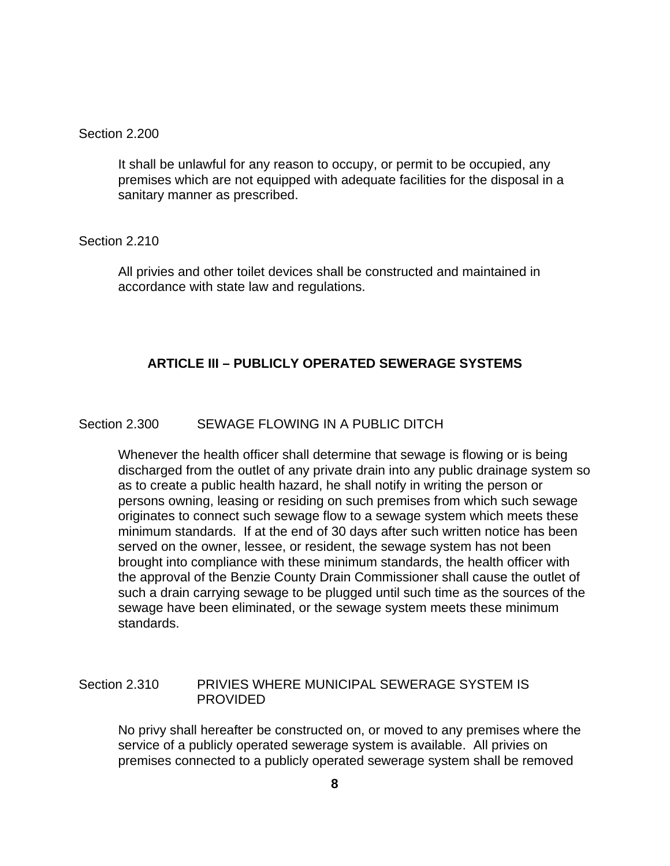#### Section 2.200

 It shall be unlawful for any reason to occupy, or permit to be occupied, any premises which are not equipped with adequate facilities for the disposal in a sanitary manner as prescribed.

Section 2.210

 All privies and other toilet devices shall be constructed and maintained in accordance with state law and regulations.

## **ARTICLE III – PUBLICLY OPERATED SEWERAGE SYSTEMS**

## Section 2.300 SEWAGE FLOWING IN A PUBLIC DITCH

 Whenever the health officer shall determine that sewage is flowing or is being discharged from the outlet of any private drain into any public drainage system so as to create a public health hazard, he shall notify in writing the person or persons owning, leasing or residing on such premises from which such sewage originates to connect such sewage flow to a sewage system which meets these minimum standards. If at the end of 30 days after such written notice has been served on the owner, lessee, or resident, the sewage system has not been brought into compliance with these minimum standards, the health officer with the approval of the Benzie County Drain Commissioner shall cause the outlet of such a drain carrying sewage to be plugged until such time as the sources of the sewage have been eliminated, or the sewage system meets these minimum standards.

## Section 2.310 PRIVIES WHERE MUNICIPAL SEWERAGE SYSTEM IS PROVIDED

 No privy shall hereafter be constructed on, or moved to any premises where the service of a publicly operated sewerage system is available. All privies on premises connected to a publicly operated sewerage system shall be removed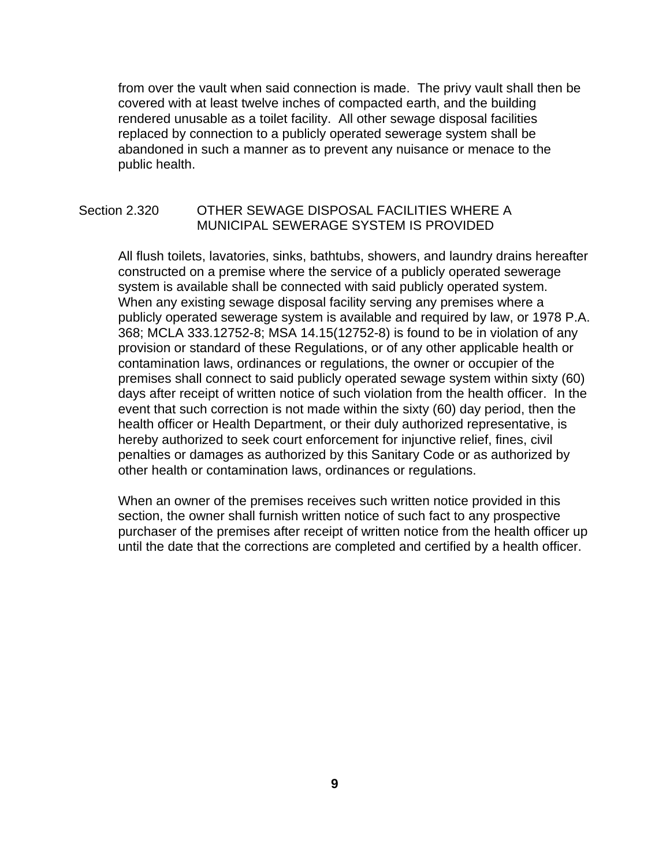from over the vault when said connection is made. The privy vault shall then be covered with at least twelve inches of compacted earth, and the building rendered unusable as a toilet facility. All other sewage disposal facilities replaced by connection to a publicly operated sewerage system shall be abandoned in such a manner as to prevent any nuisance or menace to the public health.

## Section 2.320 OTHER SEWAGE DISPOSAL FACILITIES WHERE A MUNICIPAL SEWERAGE SYSTEM IS PROVIDED

 All flush toilets, lavatories, sinks, bathtubs, showers, and laundry drains hereafter constructed on a premise where the service of a publicly operated sewerage system is available shall be connected with said publicly operated system. When any existing sewage disposal facility serving any premises where a publicly operated sewerage system is available and required by law, or 1978 P.A. 368; MCLA 333.12752-8; MSA 14.15(12752-8) is found to be in violation of any provision or standard of these Regulations, or of any other applicable health or contamination laws, ordinances or regulations, the owner or occupier of the premises shall connect to said publicly operated sewage system within sixty (60) days after receipt of written notice of such violation from the health officer. In the event that such correction is not made within the sixty (60) day period, then the health officer or Health Department, or their duly authorized representative, is hereby authorized to seek court enforcement for injunctive relief, fines, civil penalties or damages as authorized by this Sanitary Code or as authorized by other health or contamination laws, ordinances or regulations.

 When an owner of the premises receives such written notice provided in this section, the owner shall furnish written notice of such fact to any prospective purchaser of the premises after receipt of written notice from the health officer up until the date that the corrections are completed and certified by a health officer.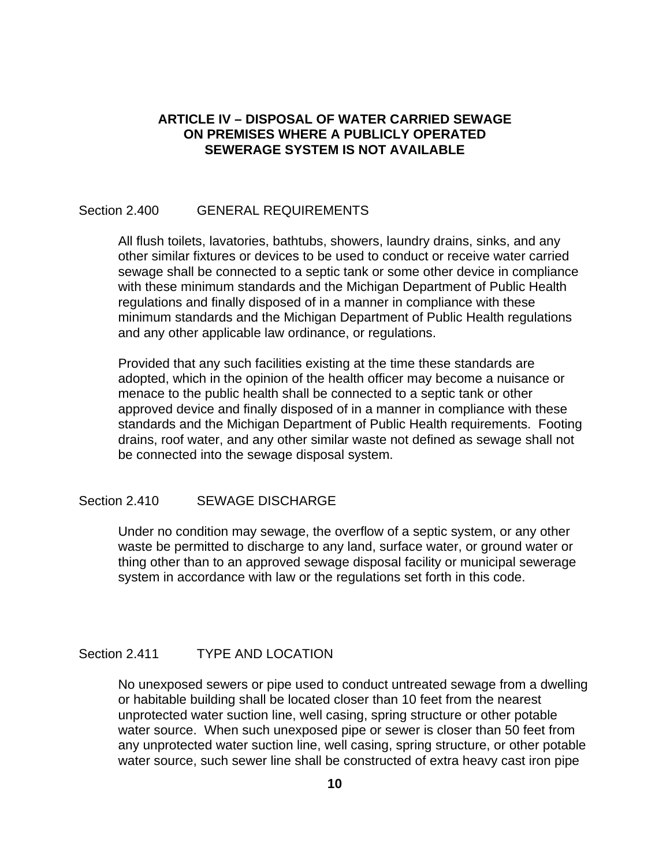## **ARTICLE IV – DISPOSAL OF WATER CARRIED SEWAGE ON PREMISES WHERE A PUBLICLY OPERATED SEWERAGE SYSTEM IS NOT AVAILABLE**

## Section 2.400 GENERAL REQUIREMENTS

 All flush toilets, lavatories, bathtubs, showers, laundry drains, sinks, and any other similar fixtures or devices to be used to conduct or receive water carried sewage shall be connected to a septic tank or some other device in compliance with these minimum standards and the Michigan Department of Public Health regulations and finally disposed of in a manner in compliance with these minimum standards and the Michigan Department of Public Health regulations and any other applicable law ordinance, or regulations.

 Provided that any such facilities existing at the time these standards are adopted, which in the opinion of the health officer may become a nuisance or menace to the public health shall be connected to a septic tank or other approved device and finally disposed of in a manner in compliance with these standards and the Michigan Department of Public Health requirements. Footing drains, roof water, and any other similar waste not defined as sewage shall not be connected into the sewage disposal system.

## Section 2.410 SEWAGE DISCHARGE

 Under no condition may sewage, the overflow of a septic system, or any other waste be permitted to discharge to any land, surface water, or ground water or thing other than to an approved sewage disposal facility or municipal sewerage system in accordance with law or the regulations set forth in this code.

## Section 2.411 TYPE AND LOCATION

 No unexposed sewers or pipe used to conduct untreated sewage from a dwelling or habitable building shall be located closer than 10 feet from the nearest unprotected water suction line, well casing, spring structure or other potable water source. When such unexposed pipe or sewer is closer than 50 feet from any unprotected water suction line, well casing, spring structure, or other potable water source, such sewer line shall be constructed of extra heavy cast iron pipe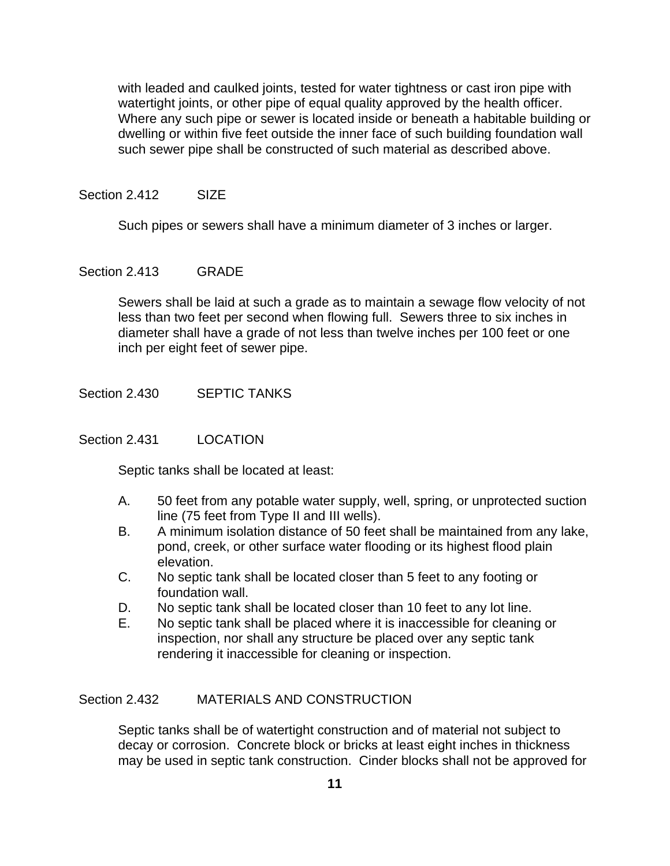with leaded and caulked joints, tested for water tightness or cast iron pipe with watertight joints, or other pipe of equal quality approved by the health officer. Where any such pipe or sewer is located inside or beneath a habitable building or dwelling or within five feet outside the inner face of such building foundation wall such sewer pipe shall be constructed of such material as described above.

#### Section 2.412 SIZE

Such pipes or sewers shall have a minimum diameter of 3 inches or larger.

## Section 2.413 GRADE

 Sewers shall be laid at such a grade as to maintain a sewage flow velocity of not less than two feet per second when flowing full. Sewers three to six inches in diameter shall have a grade of not less than twelve inches per 100 feet or one inch per eight feet of sewer pipe.

Section 2.430 SEPTIC TANKS

#### Section 2.431 LOCATION

Septic tanks shall be located at least:

- A. 50 feet from any potable water supply, well, spring, or unprotected suction line (75 feet from Type II and III wells).
- B. A minimum isolation distance of 50 feet shall be maintained from any lake, pond, creek, or other surface water flooding or its highest flood plain elevation.
- C. No septic tank shall be located closer than 5 feet to any footing or foundation wall.
- D. No septic tank shall be located closer than 10 feet to any lot line.
- E. No septic tank shall be placed where it is inaccessible for cleaning or inspection, nor shall any structure be placed over any septic tank rendering it inaccessible for cleaning or inspection.

#### Section 2.432 MATERIALS AND CONSTRUCTION

 Septic tanks shall be of watertight construction and of material not subject to decay or corrosion. Concrete block or bricks at least eight inches in thickness may be used in septic tank construction. Cinder blocks shall not be approved for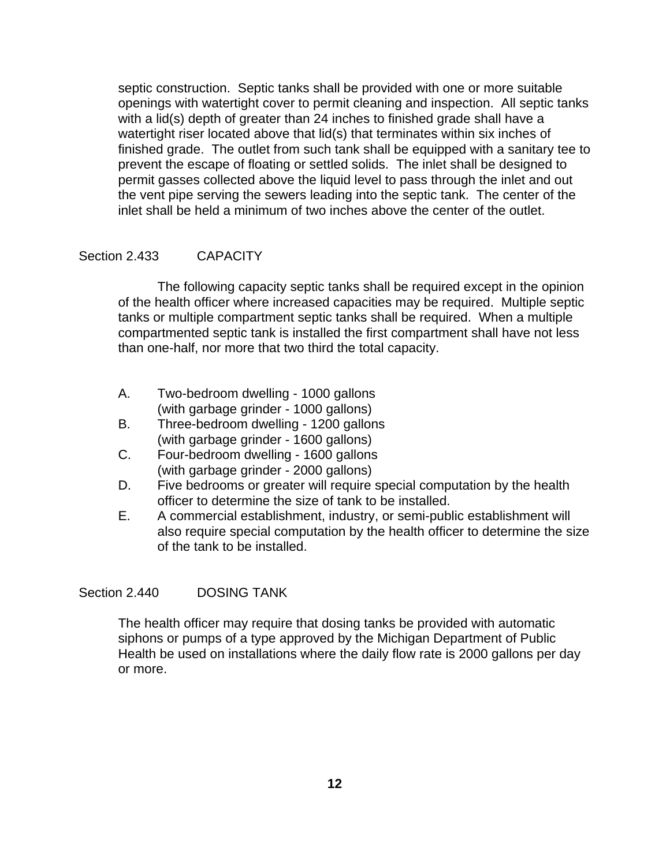septic construction. Septic tanks shall be provided with one or more suitable openings with watertight cover to permit cleaning and inspection. All septic tanks with a lid(s) depth of greater than 24 inches to finished grade shall have a watertight riser located above that lid(s) that terminates within six inches of finished grade. The outlet from such tank shall be equipped with a sanitary tee to prevent the escape of floating or settled solids. The inlet shall be designed to permit gasses collected above the liquid level to pass through the inlet and out the vent pipe serving the sewers leading into the septic tank. The center of the inlet shall be held a minimum of two inches above the center of the outlet.

## Section 2.433 CAPACITY

 The following capacity septic tanks shall be required except in the opinion of the health officer where increased capacities may be required. Multiple septic tanks or multiple compartment septic tanks shall be required. When a multiple compartmented septic tank is installed the first compartment shall have not less than one-half, nor more that two third the total capacity.

- A. Two-bedroom dwelling 1000 gallons (with garbage grinder - 1000 gallons)
- B. Three-bedroom dwelling 1200 gallons (with garbage grinder - 1600 gallons)
- C. Four-bedroom dwelling 1600 gallons (with garbage grinder - 2000 gallons)
- D. Five bedrooms or greater will require special computation by the health officer to determine the size of tank to be installed.
- E. A commercial establishment, industry, or semi-public establishment will also require special computation by the health officer to determine the size of the tank to be installed.

#### Section 2.440 DOSING TANK

 The health officer may require that dosing tanks be provided with automatic siphons or pumps of a type approved by the Michigan Department of Public Health be used on installations where the daily flow rate is 2000 gallons per day or more.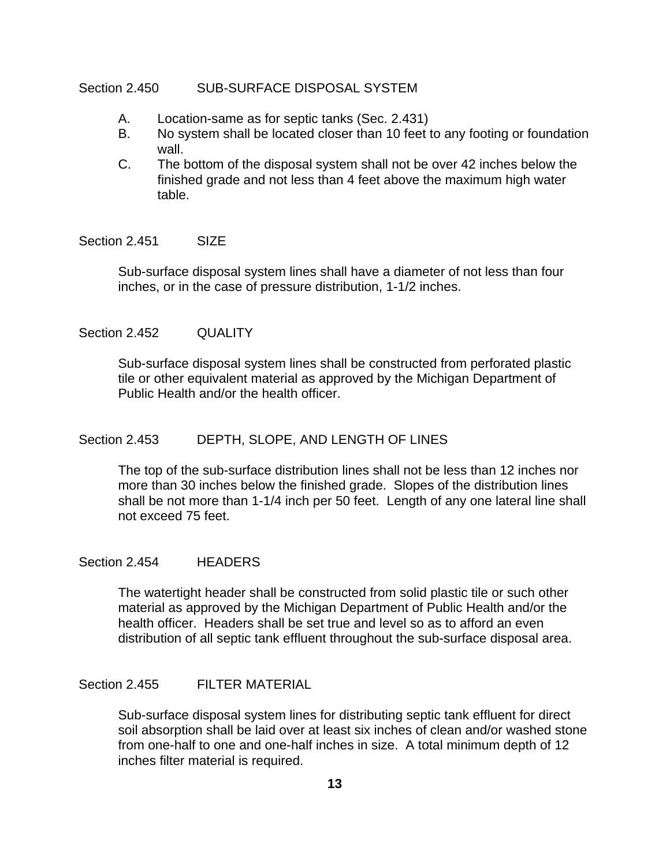#### Section 2.450 SUB-SURFACE DISPOSAL SYSTEM

- A. Location-same as for septic tanks (Sec. 2.431)
- B. No system shall be located closer than 10 feet to any footing or foundation wall.
- C. The bottom of the disposal system shall not be over 42 inches below the finished grade and not less than 4 feet above the maximum high water table.

#### Section 2.451 SIZE

 Sub-surface disposal system lines shall have a diameter of not less than four inches, or in the case of pressure distribution, 1-1/2 inches.

## Section 2.452 QUALITY

 Sub-surface disposal system lines shall be constructed from perforated plastic tile or other equivalent material as approved by the Michigan Department of Public Health and/or the health officer.

### Section 2.453 DEPTH, SLOPE, AND LENGTH OF LINES

 The top of the sub-surface distribution lines shall not be less than 12 inches nor more than 30 inches below the finished grade. Slopes of the distribution lines shall be not more than 1-1/4 inch per 50 feet. Length of any one lateral line shall not exceed 75 feet.

#### Section 2.454 HEADERS

 The watertight header shall be constructed from solid plastic tile or such other material as approved by the Michigan Department of Public Health and/or the health officer. Headers shall be set true and level so as to afford an even distribution of all septic tank effluent throughout the sub-surface disposal area.

#### Section 2.455 FILTER MATERIAL

 Sub-surface disposal system lines for distributing septic tank effluent for direct soil absorption shall be laid over at least six inches of clean and/or washed stone from one-half to one and one-half inches in size. A total minimum depth of 12 inches filter material is required.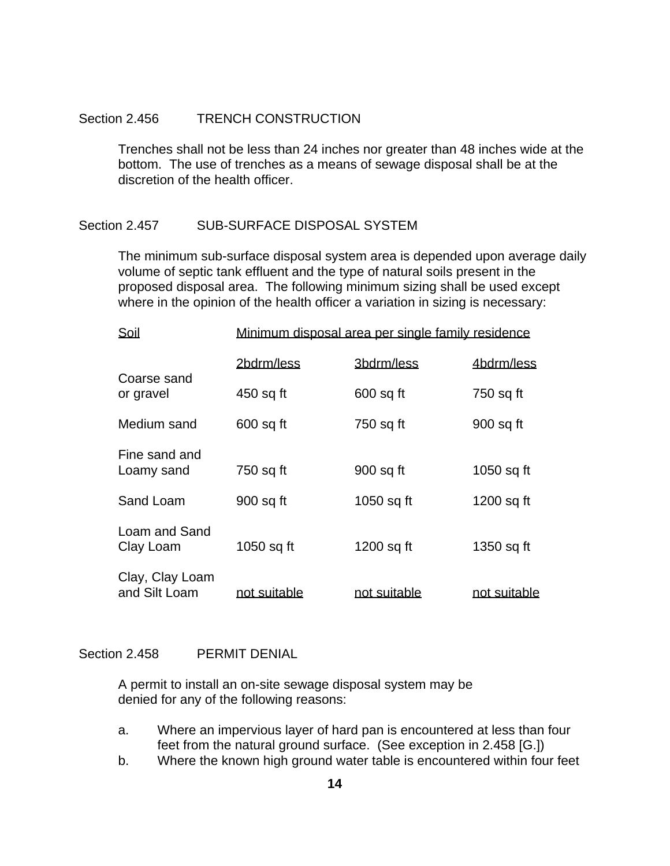#### Section 2.456 TRENCH CONSTRUCTION

 Trenches shall not be less than 24 inches nor greater than 48 inches wide at the bottom. The use of trenches as a means of sewage disposal shall be at the discretion of the health officer.

#### Section 2.457 SUB-SURFACE DISPOSAL SYSTEM

 The minimum sub-surface disposal system area is depended upon average daily volume of septic tank effluent and the type of natural soils present in the proposed disposal area. The following minimum sizing shall be used except where in the opinion of the health officer a variation in sizing is necessary:

| Soil                             | Minimum disposal area per single family residence |              |              |
|----------------------------------|---------------------------------------------------|--------------|--------------|
|                                  | 2bdrm/less                                        | 3bdrm/less   | 4bdrm/less   |
| Coarse sand<br>or gravel         | 450 sq ft                                         | $600$ sq ft  | 750 sq ft    |
| Medium sand                      | $600$ sq ft                                       | 750 sq ft    | 900 sq ft    |
| Fine sand and<br>Loamy sand      | 750 sq ft                                         | 900 sq ft    | 1050 sq ft   |
| Sand Loam                        | 900 sq ft                                         | 1050 sq ft   | 1200 sq ft   |
| Loam and Sand<br>Clay Loam       | 1050 sq ft                                        | 1200 sq ft   | 1350 sq ft   |
| Clay, Clay Loam<br>and Silt Loam | not suitable                                      | not suitable | not suitable |

#### Section 2.458 PERMIT DENIAL

 A permit to install an on-site sewage disposal system may be denied for any of the following reasons:

- a. Where an impervious layer of hard pan is encountered at less than four feet from the natural ground surface. (See exception in 2.458 [G.])
- b. Where the known high ground water table is encountered within four feet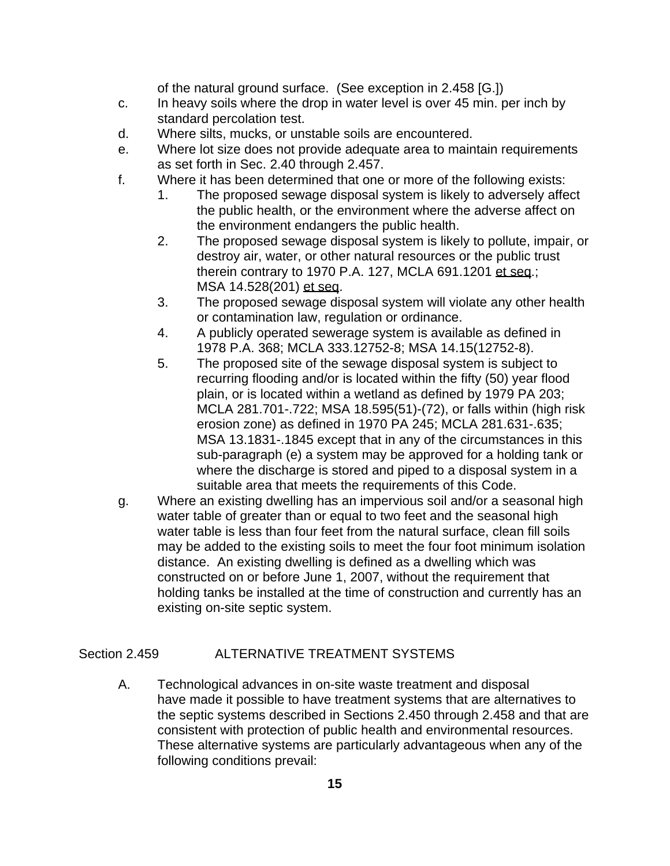of the natural ground surface. (See exception in 2.458 [G.])

- c. In heavy soils where the drop in water level is over 45 min. per inch by standard percolation test.
- d. Where silts, mucks, or unstable soils are encountered.
- e. Where lot size does not provide adequate area to maintain requirements as set forth in Sec. 2.40 through 2.457.
- f. Where it has been determined that one or more of the following exists:
	- 1. The proposed sewage disposal system is likely to adversely affect the public health, or the environment where the adverse affect on the environment endangers the public health.
	- 2. The proposed sewage disposal system is likely to pollute, impair, or destroy air, water, or other natural resources or the public trust therein contrary to 1970 P.A. 127, MCLA 691.1201 et seq.; MSA 14.528(201) et seq.
	- 3. The proposed sewage disposal system will violate any other health or contamination law, regulation or ordinance.
	- 4. A publicly operated sewerage system is available as defined in 1978 P.A. 368; MCLA 333.12752-8; MSA 14.15(12752-8).
	- 5. The proposed site of the sewage disposal system is subject to recurring flooding and/or is located within the fifty (50) year flood plain, or is located within a wetland as defined by 1979 PA 203; MCLA 281.701-.722; MSA 18.595(51)-(72), or falls within (high risk erosion zone) as defined in 1970 PA 245; MCLA 281.631-.635; MSA 13.1831-.1845 except that in any of the circumstances in this sub-paragraph (e) a system may be approved for a holding tank or where the discharge is stored and piped to a disposal system in a suitable area that meets the requirements of this Code.
- g. Where an existing dwelling has an impervious soil and/or a seasonal high water table of greater than or equal to two feet and the seasonal high water table is less than four feet from the natural surface, clean fill soils may be added to the existing soils to meet the four foot minimum isolation distance. An existing dwelling is defined as a dwelling which was constructed on or before June 1, 2007, without the requirement that holding tanks be installed at the time of construction and currently has an existing on-site septic system.

## Section 2.459 ALTERNATIVE TREATMENT SYSTEMS

A. Technological advances in on-site waste treatment and disposal have made it possible to have treatment systems that are alternatives to the septic systems described in Sections 2.450 through 2.458 and that are consistent with protection of public health and environmental resources. These alternative systems are particularly advantageous when any of the following conditions prevail: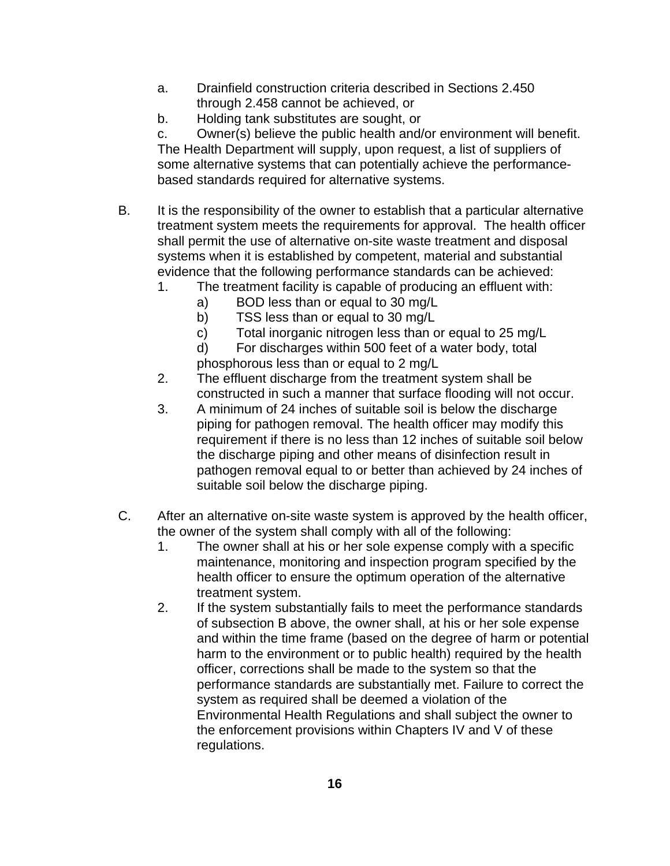- a. Drainfield construction criteria described in Sections 2.450 through 2.458 cannot be achieved, or
- b. Holding tank substitutes are sought, or

 c. Owner(s) believe the public health and/or environment will benefit. The Health Department will supply, upon request, a list of suppliers of some alternative systems that can potentially achieve the performancebased standards required for alternative systems.

- B. It is the responsibility of the owner to establish that a particular alternative treatment system meets the requirements for approval. The health officer shall permit the use of alternative on-site waste treatment and disposal systems when it is established by competent, material and substantial evidence that the following performance standards can be achieved:
	- 1. The treatment facility is capable of producing an effluent with:
		- a) BOD less than or equal to 30 mg/L
		- b) TSS less than or equal to 30 mg/L
		- c) Total inorganic nitrogen less than or equal to 25 mg/L
		- d) For discharges within 500 feet of a water body, total phosphorous less than or equal to 2 mg/L
	- 2. The effluent discharge from the treatment system shall be constructed in such a manner that surface flooding will not occur.
	- 3. A minimum of 24 inches of suitable soil is below the discharge piping for pathogen removal. The health officer may modify this requirement if there is no less than 12 inches of suitable soil below the discharge piping and other means of disinfection result in pathogen removal equal to or better than achieved by 24 inches of suitable soil below the discharge piping.
- C. After an alternative on-site waste system is approved by the health officer, the owner of the system shall comply with all of the following:
	- 1. The owner shall at his or her sole expense comply with a specific maintenance, monitoring and inspection program specified by the health officer to ensure the optimum operation of the alternative treatment system.
	- 2. If the system substantially fails to meet the performance standards of subsection B above, the owner shall, at his or her sole expense and within the time frame (based on the degree of harm or potential harm to the environment or to public health) required by the health officer, corrections shall be made to the system so that the performance standards are substantially met. Failure to correct the system as required shall be deemed a violation of the Environmental Health Regulations and shall subject the owner to the enforcement provisions within Chapters IV and V of these regulations.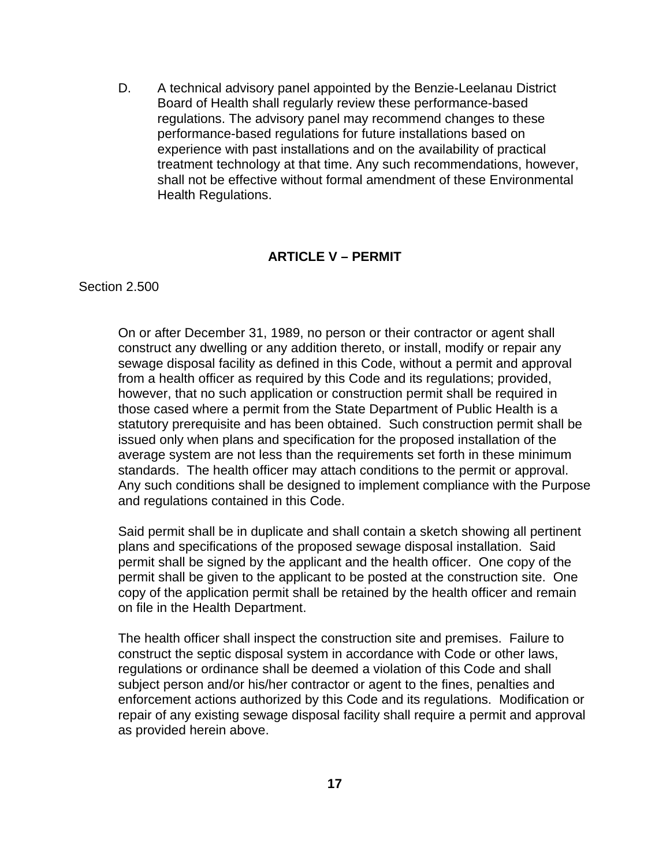D. A technical advisory panel appointed by the Benzie-Leelanau District Board of Health shall regularly review these performance-based regulations. The advisory panel may recommend changes to these performance-based regulations for future installations based on experience with past installations and on the availability of practical treatment technology at that time. Any such recommendations, however, shall not be effective without formal amendment of these Environmental Health Regulations.

#### **ARTICLE V – PERMIT**

Section 2.500

 On or after December 31, 1989, no person or their contractor or agent shall construct any dwelling or any addition thereto, or install, modify or repair any sewage disposal facility as defined in this Code, without a permit and approval from a health officer as required by this Code and its regulations; provided, however, that no such application or construction permit shall be required in those cased where a permit from the State Department of Public Health is a statutory prerequisite and has been obtained. Such construction permit shall be issued only when plans and specification for the proposed installation of the average system are not less than the requirements set forth in these minimum standards. The health officer may attach conditions to the permit or approval. Any such conditions shall be designed to implement compliance with the Purpose and regulations contained in this Code.

 Said permit shall be in duplicate and shall contain a sketch showing all pertinent plans and specifications of the proposed sewage disposal installation. Said permit shall be signed by the applicant and the health officer. One copy of the permit shall be given to the applicant to be posted at the construction site. One copy of the application permit shall be retained by the health officer and remain on file in the Health Department.

 The health officer shall inspect the construction site and premises. Failure to construct the septic disposal system in accordance with Code or other laws, regulations or ordinance shall be deemed a violation of this Code and shall subject person and/or his/her contractor or agent to the fines, penalties and enforcement actions authorized by this Code and its regulations. Modification or repair of any existing sewage disposal facility shall require a permit and approval as provided herein above.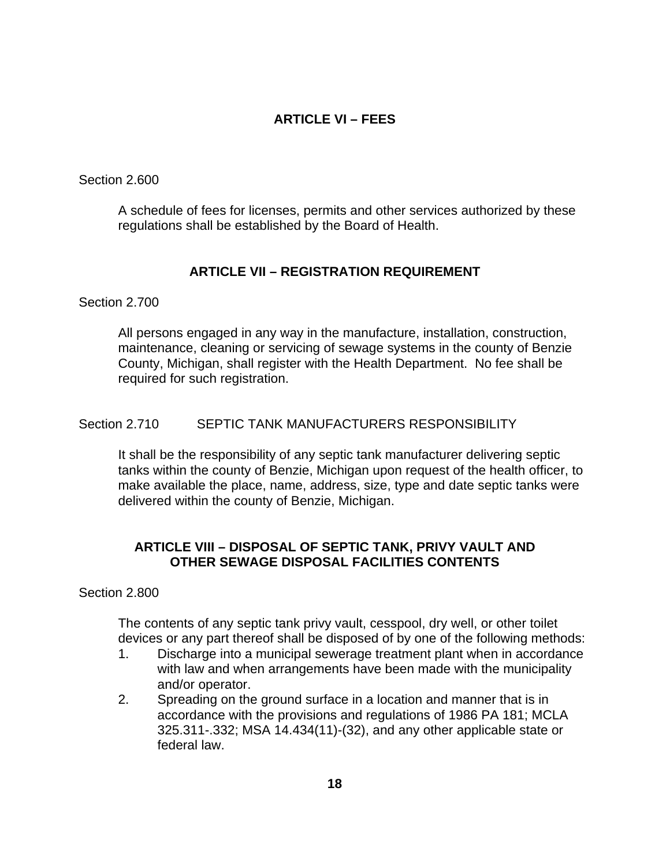## **ARTICLE VI – FEES**

Section 2.600

 A schedule of fees for licenses, permits and other services authorized by these regulations shall be established by the Board of Health.

## **ARTICLE VII – REGISTRATION REQUIREMENT**

Section 2.700

 All persons engaged in any way in the manufacture, installation, construction, maintenance, cleaning or servicing of sewage systems in the county of Benzie County, Michigan, shall register with the Health Department. No fee shall be required for such registration.

## Section 2.710 SEPTIC TANK MANUFACTURERS RESPONSIBILITY

 It shall be the responsibility of any septic tank manufacturer delivering septic tanks within the county of Benzie, Michigan upon request of the health officer, to make available the place, name, address, size, type and date septic tanks were delivered within the county of Benzie, Michigan.

## **ARTICLE VIII – DISPOSAL OF SEPTIC TANK, PRIVY VAULT AND OTHER SEWAGE DISPOSAL FACILITIES CONTENTS**

## Section 2.800

 The contents of any septic tank privy vault, cesspool, dry well, or other toilet devices or any part thereof shall be disposed of by one of the following methods:

- 1. Discharge into a municipal sewerage treatment plant when in accordance with law and when arrangements have been made with the municipality and/or operator.
- 2. Spreading on the ground surface in a location and manner that is in accordance with the provisions and regulations of 1986 PA 181; MCLA 325.311-.332; MSA 14.434(11)-(32), and any other applicable state or federal law.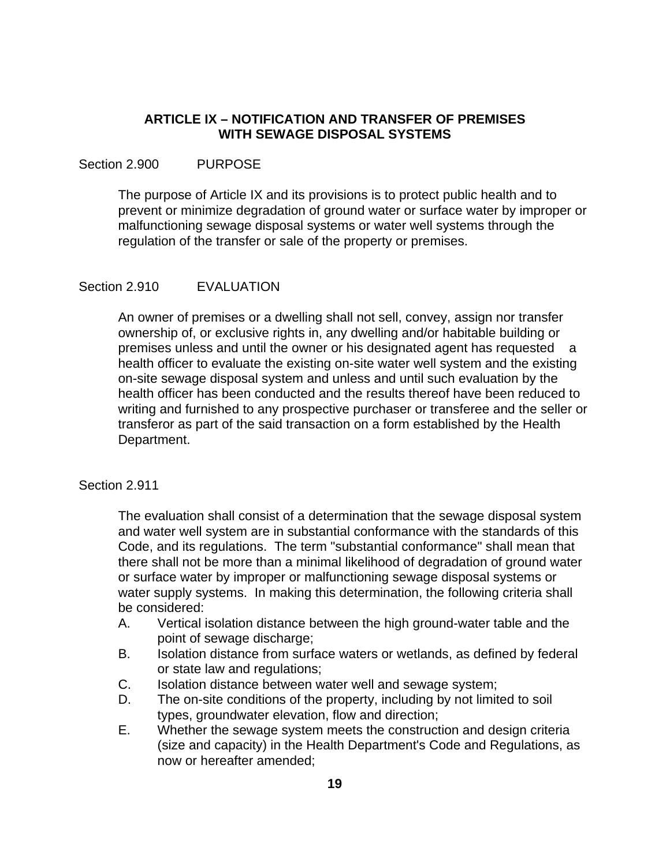## **ARTICLE IX – NOTIFICATION AND TRANSFER OF PREMISES WITH SEWAGE DISPOSAL SYSTEMS**

## Section 2.900 PURPOSE

 The purpose of Article IX and its provisions is to protect public health and to prevent or minimize degradation of ground water or surface water by improper or malfunctioning sewage disposal systems or water well systems through the regulation of the transfer or sale of the property or premises.

## Section 2.910 **EVALUATION**

 An owner of premises or a dwelling shall not sell, convey, assign nor transfer ownership of, or exclusive rights in, any dwelling and/or habitable building or premises unless and until the owner or his designated agent has requested a health officer to evaluate the existing on-site water well system and the existing on-site sewage disposal system and unless and until such evaluation by the health officer has been conducted and the results thereof have been reduced to writing and furnished to any prospective purchaser or transferee and the seller or transferor as part of the said transaction on a form established by the Health Department.

## Section 2.911

 The evaluation shall consist of a determination that the sewage disposal system and water well system are in substantial conformance with the standards of this Code, and its regulations. The term "substantial conformance" shall mean that there shall not be more than a minimal likelihood of degradation of ground water or surface water by improper or malfunctioning sewage disposal systems or water supply systems. In making this determination, the following criteria shall be considered:

- A. Vertical isolation distance between the high ground-water table and the point of sewage discharge;
- B. Isolation distance from surface waters or wetlands, as defined by federal or state law and regulations;
- C. Isolation distance between water well and sewage system;
- D. The on-site conditions of the property, including by not limited to soil types, groundwater elevation, flow and direction;
- E. Whether the sewage system meets the construction and design criteria (size and capacity) in the Health Department's Code and Regulations, as now or hereafter amended;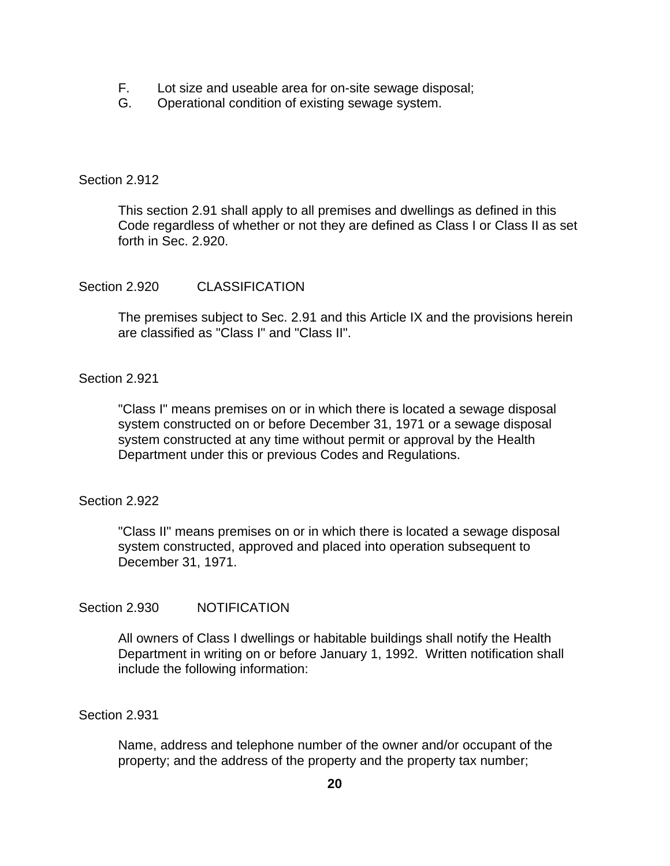- F. Lot size and useable area for on-site sewage disposal;
- G. Operational condition of existing sewage system.

## Section 2.912

 This section 2.91 shall apply to all premises and dwellings as defined in this Code regardless of whether or not they are defined as Class I or Class II as set forth in Sec. 2.920.

## Section 2.920 CLASSIFICATION

 The premises subject to Sec. 2.91 and this Article IX and the provisions herein are classified as "Class I" and "Class II".

## Section 2.921

 "Class I" means premises on or in which there is located a sewage disposal system constructed on or before December 31, 1971 or a sewage disposal system constructed at any time without permit or approval by the Health Department under this or previous Codes and Regulations.

## Section 2.922

 "Class II" means premises on or in which there is located a sewage disposal system constructed, approved and placed into operation subsequent to December 31, 1971.

## Section 2.930 NOTIFICATION

 All owners of Class I dwellings or habitable buildings shall notify the Health Department in writing on or before January 1, 1992. Written notification shall include the following information:

Section 2.931

 Name, address and telephone number of the owner and/or occupant of the property; and the address of the property and the property tax number;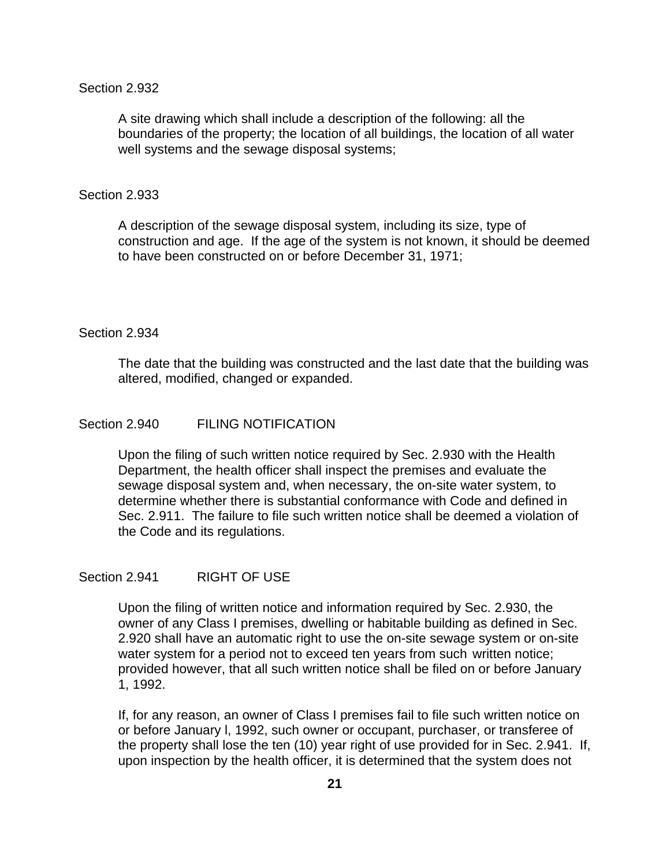#### Section 2.932

 A site drawing which shall include a description of the following: all the boundaries of the property; the location of all buildings, the location of all water well systems and the sewage disposal systems;

#### Section 2.933

 A description of the sewage disposal system, including its size, type of construction and age. If the age of the system is not known, it should be deemed to have been constructed on or before December 31, 1971;

### Section 2.934

 The date that the building was constructed and the last date that the building was altered, modified, changed or expanded.

## Section 2.940 FILING NOTIFICATION

 Upon the filing of such written notice required by Sec. 2.930 with the Health Department, the health officer shall inspect the premises and evaluate the sewage disposal system and, when necessary, the on-site water system, to determine whether there is substantial conformance with Code and defined in Sec. 2.911. The failure to file such written notice shall be deemed a violation of the Code and its regulations.

#### Section 2.941 RIGHT OF USE

 Upon the filing of written notice and information required by Sec. 2.930, the owner of any Class I premises, dwelling or habitable building as defined in Sec. 2.920 shall have an automatic right to use the on-site sewage system or on-site water system for a period not to exceed ten years from such written notice; provided however, that all such written notice shall be filed on or before January 1, 1992.

 If, for any reason, an owner of Class I premises fail to file such written notice on or before January l, 1992, such owner or occupant, purchaser, or transferee of the property shall lose the ten (10) year right of use provided for in Sec. 2.941. If, upon inspection by the health officer, it is determined that the system does not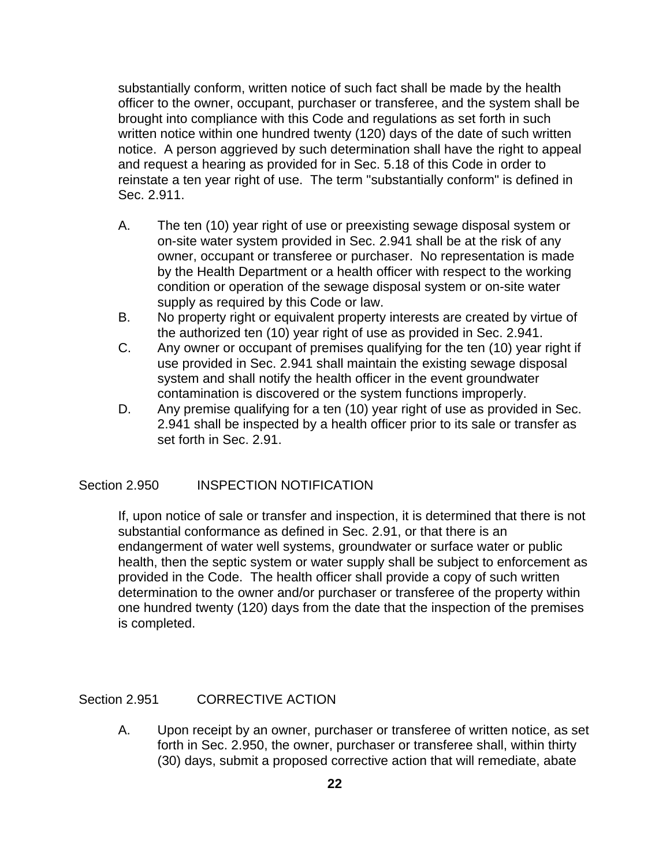substantially conform, written notice of such fact shall be made by the health officer to the owner, occupant, purchaser or transferee, and the system shall be brought into compliance with this Code and regulations as set forth in such written notice within one hundred twenty (120) days of the date of such written notice. A person aggrieved by such determination shall have the right to appeal and request a hearing as provided for in Sec. 5.18 of this Code in order to reinstate a ten year right of use. The term "substantially conform" is defined in Sec. 2.911.

- A. The ten (10) year right of use or preexisting sewage disposal system or on-site water system provided in Sec. 2.941 shall be at the risk of any owner, occupant or transferee or purchaser. No representation is made by the Health Department or a health officer with respect to the working condition or operation of the sewage disposal system or on-site water supply as required by this Code or law.
- B. No property right or equivalent property interests are created by virtue of the authorized ten (10) year right of use as provided in Sec. 2.941.
- C. Any owner or occupant of premises qualifying for the ten (10) year right if use provided in Sec. 2.941 shall maintain the existing sewage disposal system and shall notify the health officer in the event groundwater contamination is discovered or the system functions improperly.
- D. Any premise qualifying for a ten (10) year right of use as provided in Sec. 2.941 shall be inspected by a health officer prior to its sale or transfer as set forth in Sec. 2.91.

## Section 2.950 **INSPECTION NOTIFICATION**

 If, upon notice of sale or transfer and inspection, it is determined that there is not substantial conformance as defined in Sec. 2.91, or that there is an endangerment of water well systems, groundwater or surface water or public health, then the septic system or water supply shall be subject to enforcement as provided in the Code. The health officer shall provide a copy of such written determination to the owner and/or purchaser or transferee of the property within one hundred twenty (120) days from the date that the inspection of the premises is completed.

## Section 2.951 CORRECTIVE ACTION

 A. Upon receipt by an owner, purchaser or transferee of written notice, as set forth in Sec. 2.950, the owner, purchaser or transferee shall, within thirty (30) days, submit a proposed corrective action that will remediate, abate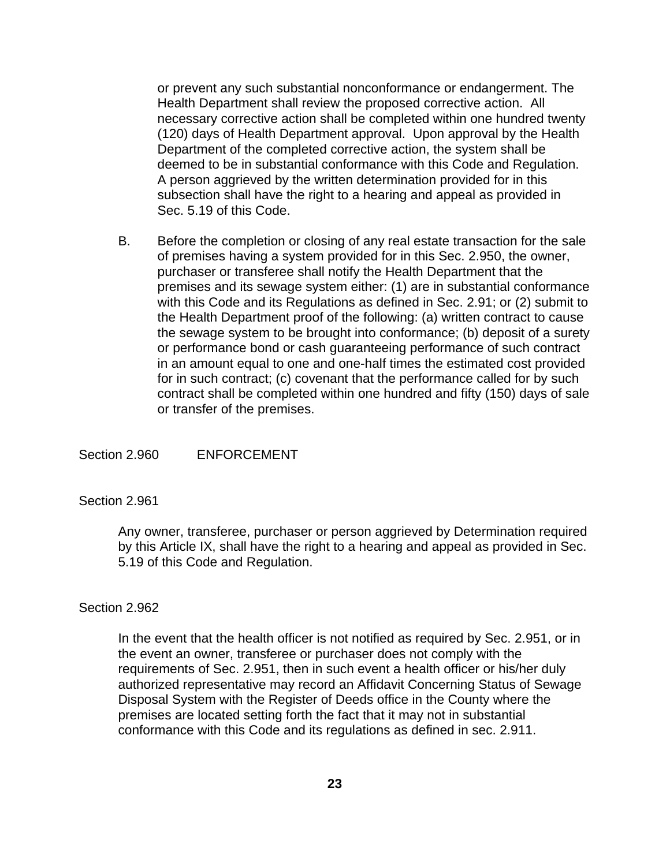or prevent any such substantial nonconformance or endangerment. The Health Department shall review the proposed corrective action. All necessary corrective action shall be completed within one hundred twenty (120) days of Health Department approval. Upon approval by the Health Department of the completed corrective action, the system shall be deemed to be in substantial conformance with this Code and Regulation. A person aggrieved by the written determination provided for in this subsection shall have the right to a hearing and appeal as provided in Sec. 5.19 of this Code.

 B. Before the completion or closing of any real estate transaction for the sale of premises having a system provided for in this Sec. 2.950, the owner, purchaser or transferee shall notify the Health Department that the premises and its sewage system either: (1) are in substantial conformance with this Code and its Regulations as defined in Sec. 2.91; or (2) submit to the Health Department proof of the following: (a) written contract to cause the sewage system to be brought into conformance; (b) deposit of a surety or performance bond or cash guaranteeing performance of such contract in an amount equal to one and one-half times the estimated cost provided for in such contract; (c) covenant that the performance called for by such contract shall be completed within one hundred and fifty (150) days of sale or transfer of the premises.

Section 2.960 ENFORCEMENT

#### Section 2.961

 Any owner, transferee, purchaser or person aggrieved by Determination required by this Article IX, shall have the right to a hearing and appeal as provided in Sec. 5.19 of this Code and Regulation.

#### Section 2.962

 In the event that the health officer is not notified as required by Sec. 2.951, or in the event an owner, transferee or purchaser does not comply with the requirements of Sec. 2.951, then in such event a health officer or his/her duly authorized representative may record an Affidavit Concerning Status of Sewage Disposal System with the Register of Deeds office in the County where the premises are located setting forth the fact that it may not in substantial conformance with this Code and its regulations as defined in sec. 2.911.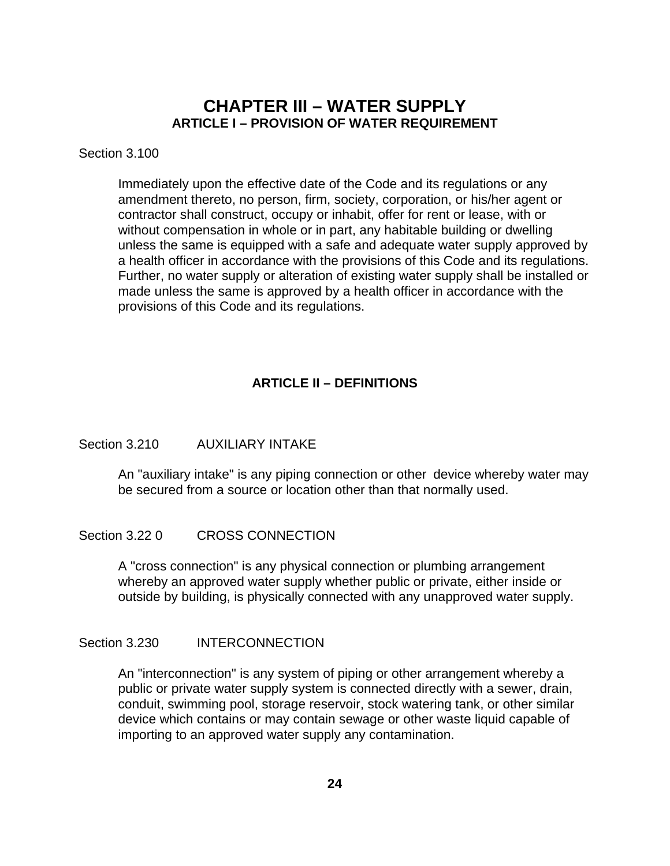## **CHAPTER III – WATER SUPPLY ARTICLE I – PROVISION OF WATER REQUIREMENT**

## Section 3.100

 Immediately upon the effective date of the Code and its regulations or any amendment thereto, no person, firm, society, corporation, or his/her agent or contractor shall construct, occupy or inhabit, offer for rent or lease, with or without compensation in whole or in part, any habitable building or dwelling unless the same is equipped with a safe and adequate water supply approved by a health officer in accordance with the provisions of this Code and its regulations. Further, no water supply or alteration of existing water supply shall be installed or made unless the same is approved by a health officer in accordance with the provisions of this Code and its regulations.

## **ARTICLE II – DEFINITIONS**

## Section 3.210 AUXILIARY INTAKE

 An "auxiliary intake" is any piping connection or other device whereby water may be secured from a source or location other than that normally used.

## Section 3.22 0 CROSS CONNECTION

 A "cross connection" is any physical connection or plumbing arrangement whereby an approved water supply whether public or private, either inside or outside by building, is physically connected with any unapproved water supply.

## Section 3.230 INTERCONNECTION

 An "interconnection" is any system of piping or other arrangement whereby a public or private water supply system is connected directly with a sewer, drain, conduit, swimming pool, storage reservoir, stock watering tank, or other similar device which contains or may contain sewage or other waste liquid capable of importing to an approved water supply any contamination.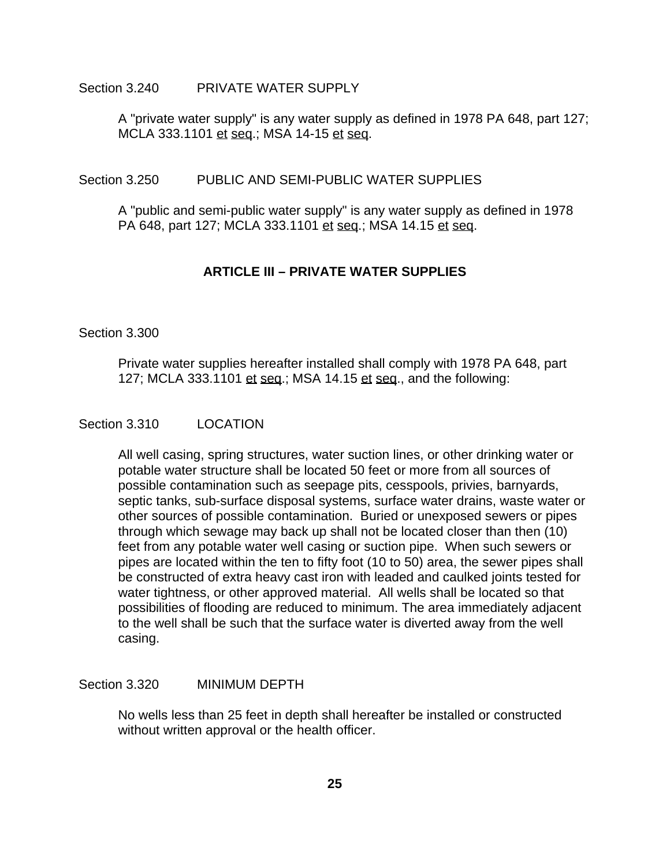#### Section 3.240 PRIVATE WATER SUPPLY

 A "private water supply" is any water supply as defined in 1978 PA 648, part 127; MCLA 333.1101 et seq.; MSA 14-15 et seq.

#### Section 3.250 PUBLIC AND SEMI-PUBLIC WATER SUPPLIES

 A "public and semi-public water supply" is any water supply as defined in 1978 PA 648, part 127; MCLA 333.1101 et seq.; MSA 14.15 et seq.

## **ARTICLE III – PRIVATE WATER SUPPLIES**

#### Section 3.300

 Private water supplies hereafter installed shall comply with 1978 PA 648, part 127; MCLA 333.1101 et seq.; MSA 14.15 et seq., and the following:

#### Section 3.310 LOCATION

 All well casing, spring structures, water suction lines, or other drinking water or potable water structure shall be located 50 feet or more from all sources of possible contamination such as seepage pits, cesspools, privies, barnyards, septic tanks, sub-surface disposal systems, surface water drains, waste water or other sources of possible contamination. Buried or unexposed sewers or pipes through which sewage may back up shall not be located closer than then (10) feet from any potable water well casing or suction pipe. When such sewers or pipes are located within the ten to fifty foot (10 to 50) area, the sewer pipes shall be constructed of extra heavy cast iron with leaded and caulked joints tested for water tightness, or other approved material. All wells shall be located so that possibilities of flooding are reduced to minimum. The area immediately adjacent to the well shall be such that the surface water is diverted away from the well casing.

#### Section 3.320 MINIMUM DEPTH

 No wells less than 25 feet in depth shall hereafter be installed or constructed without written approval or the health officer.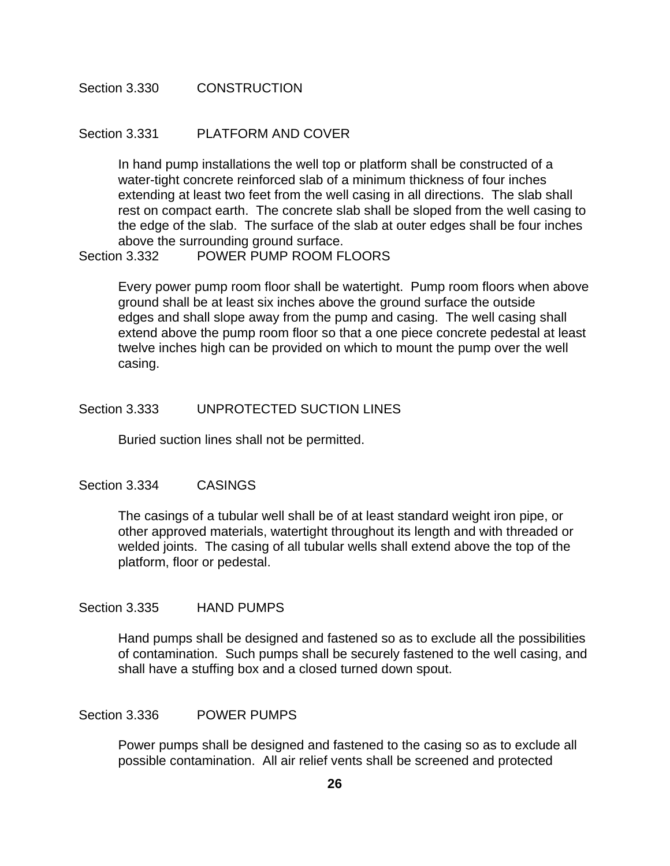Section 3.330 CONSTRUCTION

#### Section 3.331 PLATFORM AND COVER

 In hand pump installations the well top or platform shall be constructed of a water-tight concrete reinforced slab of a minimum thickness of four inches extending at least two feet from the well casing in all directions. The slab shall rest on compact earth. The concrete slab shall be sloped from the well casing to the edge of the slab. The surface of the slab at outer edges shall be four inches above the surrounding ground surface.

#### Section 3.332 POWER PUMP ROOM FLOORS

 Every power pump room floor shall be watertight. Pump room floors when above ground shall be at least six inches above the ground surface the outside edges and shall slope away from the pump and casing. The well casing shall extend above the pump room floor so that a one piece concrete pedestal at least twelve inches high can be provided on which to mount the pump over the well casing.

#### Section 3.333 UNPROTECTED SUCTION LINES

Buried suction lines shall not be permitted.

#### Section 3.334 CASINGS

 The casings of a tubular well shall be of at least standard weight iron pipe, or other approved materials, watertight throughout its length and with threaded or welded joints. The casing of all tubular wells shall extend above the top of the platform, floor or pedestal.

#### Section 3.335 HAND PUMPS

 Hand pumps shall be designed and fastened so as to exclude all the possibilities of contamination. Such pumps shall be securely fastened to the well casing, and shall have a stuffing box and a closed turned down spout.

#### Section 3.336 POWER PUMPS

 Power pumps shall be designed and fastened to the casing so as to exclude all possible contamination. All air relief vents shall be screened and protected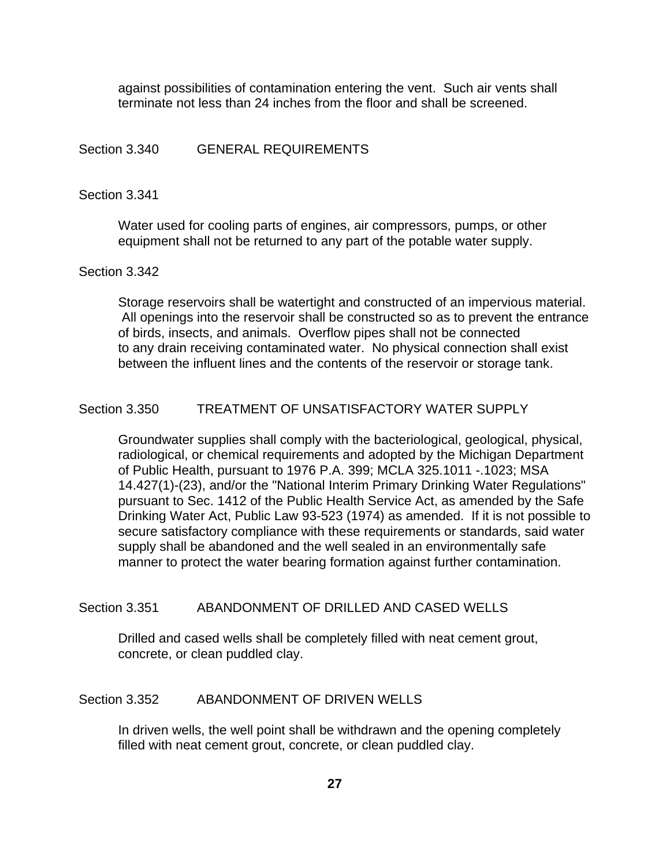against possibilities of contamination entering the vent. Such air vents shall terminate not less than 24 inches from the floor and shall be screened.

## Section 3.340 GENERAL REQUIREMENTS

#### Section 3.341

 Water used for cooling parts of engines, air compressors, pumps, or other equipment shall not be returned to any part of the potable water supply.

#### Section 3.342

 Storage reservoirs shall be watertight and constructed of an impervious material. All openings into the reservoir shall be constructed so as to prevent the entrance of birds, insects, and animals. Overflow pipes shall not be connected to any drain receiving contaminated water. No physical connection shall exist between the influent lines and the contents of the reservoir or storage tank.

#### Section 3.350 TREATMENT OF UNSATISFACTORY WATER SUPPLY

 Groundwater supplies shall comply with the bacteriological, geological, physical, radiological, or chemical requirements and adopted by the Michigan Department of Public Health, pursuant to 1976 P.A. 399; MCLA 325.1011 -.1023; MSA 14.427(1)-(23), and/or the "National Interim Primary Drinking Water Regulations" pursuant to Sec. 1412 of the Public Health Service Act, as amended by the Safe Drinking Water Act, Public Law 93-523 (1974) as amended. If it is not possible to secure satisfactory compliance with these requirements or standards, said water supply shall be abandoned and the well sealed in an environmentally safe manner to protect the water bearing formation against further contamination.

#### Section 3.351 ABANDONMENT OF DRILLED AND CASED WELLS

 Drilled and cased wells shall be completely filled with neat cement grout, concrete, or clean puddled clay.

## Section 3.352 ABANDONMENT OF DRIVEN WELLS

 In driven wells, the well point shall be withdrawn and the opening completely filled with neat cement grout, concrete, or clean puddled clay.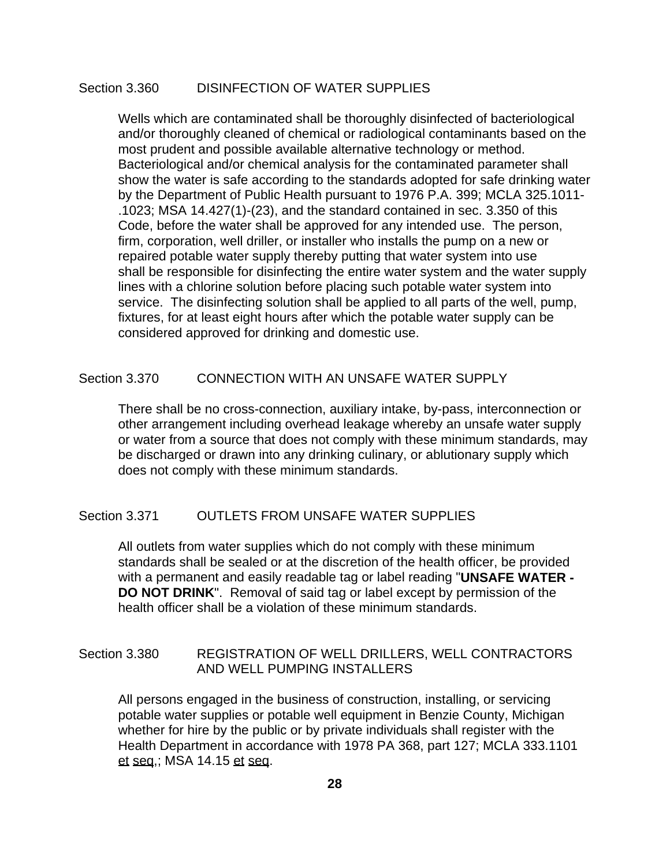## Section 3.360 DISINFECTION OF WATER SUPPLIES

 Wells which are contaminated shall be thoroughly disinfected of bacteriological and/or thoroughly cleaned of chemical or radiological contaminants based on the most prudent and possible available alternative technology or method. Bacteriological and/or chemical analysis for the contaminated parameter shall show the water is safe according to the standards adopted for safe drinking water by the Department of Public Health pursuant to 1976 P.A. 399; MCLA 325.1011- .1023; MSA 14.427(1)-(23), and the standard contained in sec. 3.350 of this Code, before the water shall be approved for any intended use. The person, firm, corporation, well driller, or installer who installs the pump on a new or repaired potable water supply thereby putting that water system into use shall be responsible for disinfecting the entire water system and the water supply lines with a chlorine solution before placing such potable water system into service. The disinfecting solution shall be applied to all parts of the well, pump, fixtures, for at least eight hours after which the potable water supply can be considered approved for drinking and domestic use.

#### Section 3.370 CONNECTION WITH AN UNSAFE WATER SUPPLY

 There shall be no cross-connection, auxiliary intake, by-pass, interconnection or other arrangement including overhead leakage whereby an unsafe water supply or water from a source that does not comply with these minimum standards, may be discharged or drawn into any drinking culinary, or ablutionary supply which does not comply with these minimum standards.

### Section 3.371 OUTLETS FROM UNSAFE WATER SUPPLIES

 All outlets from water supplies which do not comply with these minimum standards shall be sealed or at the discretion of the health officer, be provided with a permanent and easily readable tag or label reading "**UNSAFE WATER - DO NOT DRINK**". Removal of said tag or label except by permission of the health officer shall be a violation of these minimum standards.

## Section 3.380 REGISTRATION OF WELL DRILLERS, WELL CONTRACTORS AND WELL PUMPING INSTALLERS

 All persons engaged in the business of construction, installing, or servicing potable water supplies or potable well equipment in Benzie County, Michigan whether for hire by the public or by private individuals shall register with the Health Department in accordance with 1978 PA 368, part 127; MCLA 333.1101 et seq,; MSA 14.15 et seq.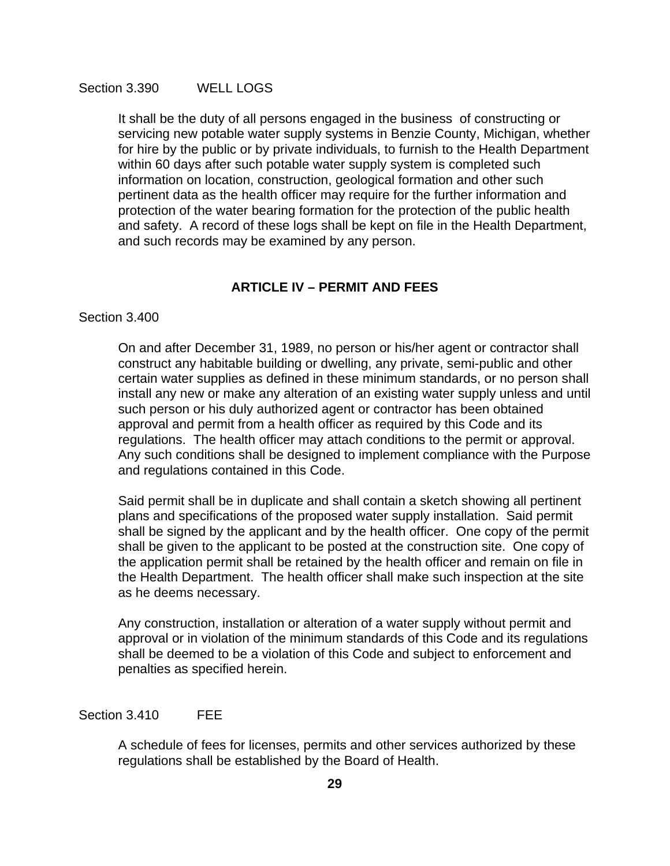It shall be the duty of all persons engaged in the business of constructing or servicing new potable water supply systems in Benzie County, Michigan, whether for hire by the public or by private individuals, to furnish to the Health Department within 60 days after such potable water supply system is completed such information on location, construction, geological formation and other such pertinent data as the health officer may require for the further information and protection of the water bearing formation for the protection of the public health and safety. A record of these logs shall be kept on file in the Health Department, and such records may be examined by any person.

## **ARTICLE IV – PERMIT AND FEES**

#### Section 3.400

 On and after December 31, 1989, no person or his/her agent or contractor shall construct any habitable building or dwelling, any private, semi-public and other certain water supplies as defined in these minimum standards, or no person shall install any new or make any alteration of an existing water supply unless and until such person or his duly authorized agent or contractor has been obtained approval and permit from a health officer as required by this Code and its regulations. The health officer may attach conditions to the permit or approval. Any such conditions shall be designed to implement compliance with the Purpose and regulations contained in this Code.

 Said permit shall be in duplicate and shall contain a sketch showing all pertinent plans and specifications of the proposed water supply installation. Said permit shall be signed by the applicant and by the health officer. One copy of the permit shall be given to the applicant to be posted at the construction site. One copy of the application permit shall be retained by the health officer and remain on file in the Health Department. The health officer shall make such inspection at the site as he deems necessary.

 Any construction, installation or alteration of a water supply without permit and approval or in violation of the minimum standards of this Code and its regulations shall be deemed to be a violation of this Code and subject to enforcement and penalties as specified herein.

#### Section 3.410 FEE

 A schedule of fees for licenses, permits and other services authorized by these regulations shall be established by the Board of Health.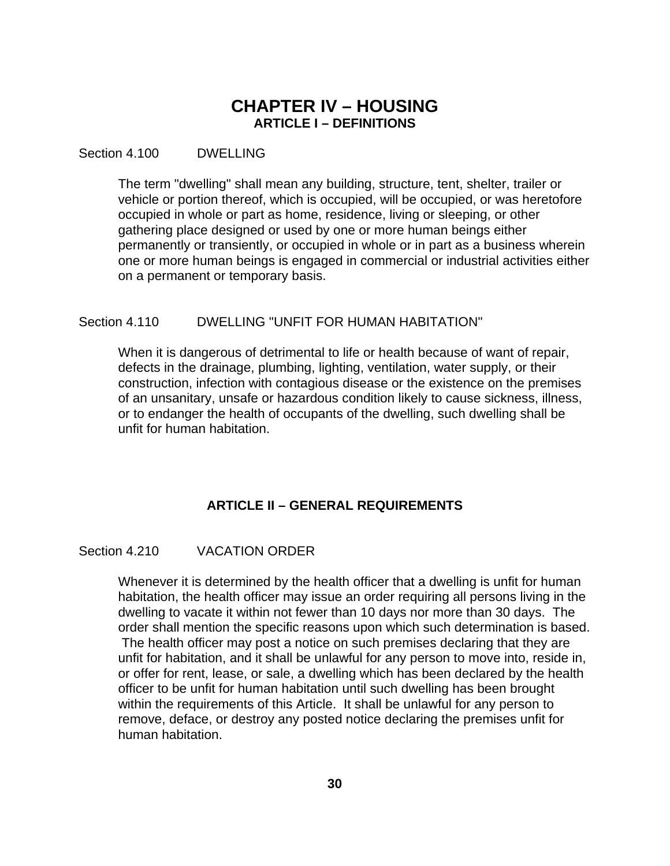## **CHAPTER IV – HOUSING ARTICLE I – DEFINITIONS**

Section 4.100 DWELLING

 The term "dwelling" shall mean any building, structure, tent, shelter, trailer or vehicle or portion thereof, which is occupied, will be occupied, or was heretofore occupied in whole or part as home, residence, living or sleeping, or other gathering place designed or used by one or more human beings either permanently or transiently, or occupied in whole or in part as a business wherein one or more human beings is engaged in commercial or industrial activities either on a permanent or temporary basis.

## Section 4.110 DWELLING "UNFIT FOR HUMAN HABITATION"

 When it is dangerous of detrimental to life or health because of want of repair, defects in the drainage, plumbing, lighting, ventilation, water supply, or their construction, infection with contagious disease or the existence on the premises of an unsanitary, unsafe or hazardous condition likely to cause sickness, illness, or to endanger the health of occupants of the dwelling, such dwelling shall be unfit for human habitation.

## **ARTICLE II – GENERAL REQUIREMENTS**

## Section 4.210 VACATION ORDER

 Whenever it is determined by the health officer that a dwelling is unfit for human habitation, the health officer may issue an order requiring all persons living in the dwelling to vacate it within not fewer than 10 days nor more than 30 days. The order shall mention the specific reasons upon which such determination is based. The health officer may post a notice on such premises declaring that they are unfit for habitation, and it shall be unlawful for any person to move into, reside in, or offer for rent, lease, or sale, a dwelling which has been declared by the health officer to be unfit for human habitation until such dwelling has been brought within the requirements of this Article. It shall be unlawful for any person to remove, deface, or destroy any posted notice declaring the premises unfit for human habitation.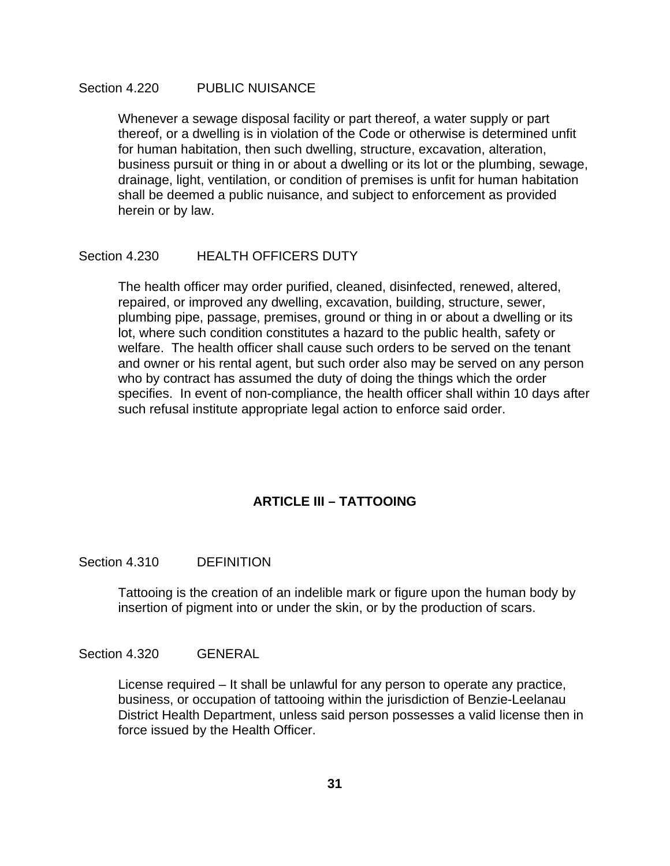#### Section 4.220 PUBLIC NUISANCE

 Whenever a sewage disposal facility or part thereof, a water supply or part thereof, or a dwelling is in violation of the Code or otherwise is determined unfit for human habitation, then such dwelling, structure, excavation, alteration, business pursuit or thing in or about a dwelling or its lot or the plumbing, sewage, drainage, light, ventilation, or condition of premises is unfit for human habitation shall be deemed a public nuisance, and subject to enforcement as provided herein or by law.

#### Section 4.230 HEALTH OFFICERS DUTY

 The health officer may order purified, cleaned, disinfected, renewed, altered, repaired, or improved any dwelling, excavation, building, structure, sewer, plumbing pipe, passage, premises, ground or thing in or about a dwelling or its lot, where such condition constitutes a hazard to the public health, safety or welfare. The health officer shall cause such orders to be served on the tenant and owner or his rental agent, but such order also may be served on any person who by contract has assumed the duty of doing the things which the order specifies. In event of non-compliance, the health officer shall within 10 days after such refusal institute appropriate legal action to enforce said order.

## **ARTICLE III – TATTOOING**

#### Section 4.310 DEFINITION

Tattooing is the creation of an indelible mark or figure upon the human body by insertion of pigment into or under the skin, or by the production of scars.

#### Section 4.320 GENERAL

License required – It shall be unlawful for any person to operate any practice, business, or occupation of tattooing within the jurisdiction of Benzie-Leelanau District Health Department, unless said person possesses a valid license then in force issued by the Health Officer.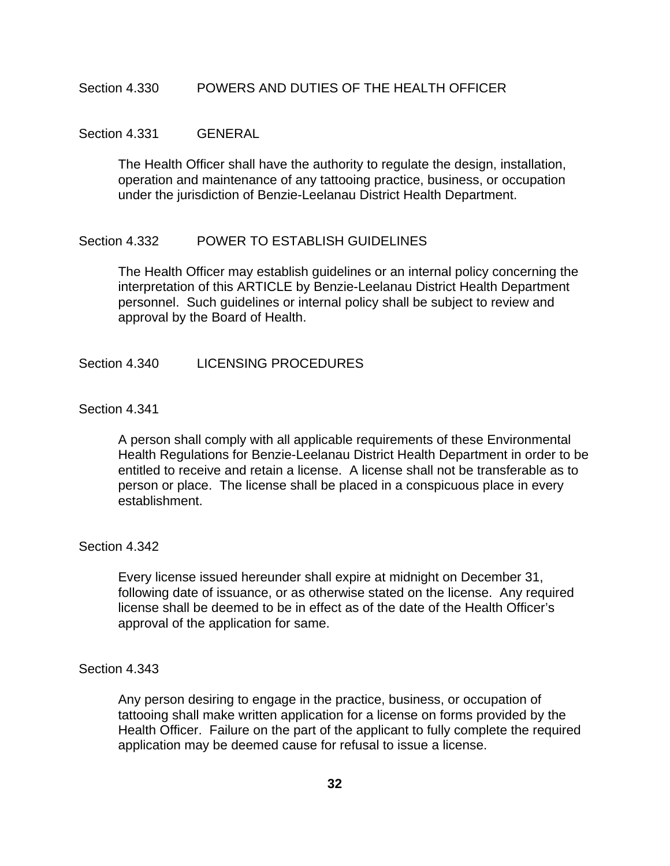#### Section 4.330 POWERS AND DUTIES OF THE HEALTH OFFICER

#### Section 4.331 GENERAL

The Health Officer shall have the authority to regulate the design, installation, operation and maintenance of any tattooing practice, business, or occupation under the jurisdiction of Benzie-Leelanau District Health Department.

#### Section 4.332 POWER TO ESTABLISH GUIDELINES

The Health Officer may establish guidelines or an internal policy concerning the interpretation of this ARTICLE by Benzie-Leelanau District Health Department personnel. Such guidelines or internal policy shall be subject to review and approval by the Board of Health.

#### Section 4.340 LICENSING PROCEDURES

## Section 4.341

A person shall comply with all applicable requirements of these Environmental Health Regulations for Benzie-Leelanau District Health Department in order to be entitled to receive and retain a license. A license shall not be transferable as to person or place. The license shall be placed in a conspicuous place in every establishment.

#### Section 4.342

Every license issued hereunder shall expire at midnight on December 31, following date of issuance, or as otherwise stated on the license. Any required license shall be deemed to be in effect as of the date of the Health Officer's approval of the application for same.

#### Section 4.343

Any person desiring to engage in the practice, business, or occupation of tattooing shall make written application for a license on forms provided by the Health Officer. Failure on the part of the applicant to fully complete the required application may be deemed cause for refusal to issue a license.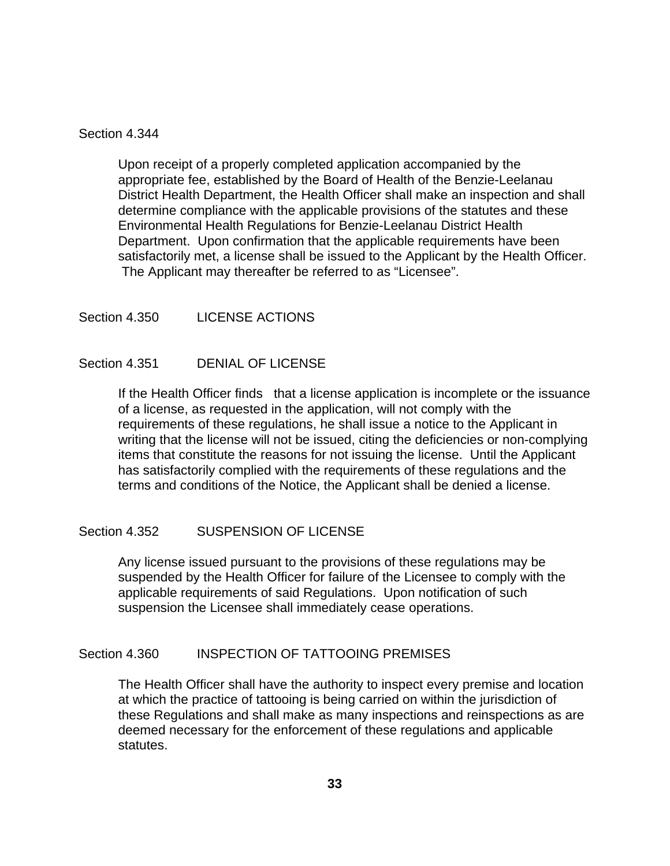### Section 4.344

Upon receipt of a properly completed application accompanied by the appropriate fee, established by the Board of Health of the Benzie-Leelanau District Health Department, the Health Officer shall make an inspection and shall determine compliance with the applicable provisions of the statutes and these Environmental Health Regulations for Benzie-Leelanau District Health Department. Upon confirmation that the applicable requirements have been satisfactorily met, a license shall be issued to the Applicant by the Health Officer. The Applicant may thereafter be referred to as "Licensee".

## Section 4.350 LICENSE ACTIONS

## Section 4.351 DENIAL OF LICENSE

If the Health Officer finds that a license application is incomplete or the issuance of a license, as requested in the application, will not comply with the requirements of these regulations, he shall issue a notice to the Applicant in writing that the license will not be issued, citing the deficiencies or non-complying items that constitute the reasons for not issuing the license. Until the Applicant has satisfactorily complied with the requirements of these regulations and the terms and conditions of the Notice, the Applicant shall be denied a license.

## Section 4.352 SUSPENSION OF LICENSE

Any license issued pursuant to the provisions of these regulations may be suspended by the Health Officer for failure of the Licensee to comply with the applicable requirements of said Regulations. Upon notification of such suspension the Licensee shall immediately cease operations.

## Section 4.360 INSPECTION OF TATTOOING PREMISES

The Health Officer shall have the authority to inspect every premise and location at which the practice of tattooing is being carried on within the jurisdiction of these Regulations and shall make as many inspections and reinspections as are deemed necessary for the enforcement of these regulations and applicable statutes.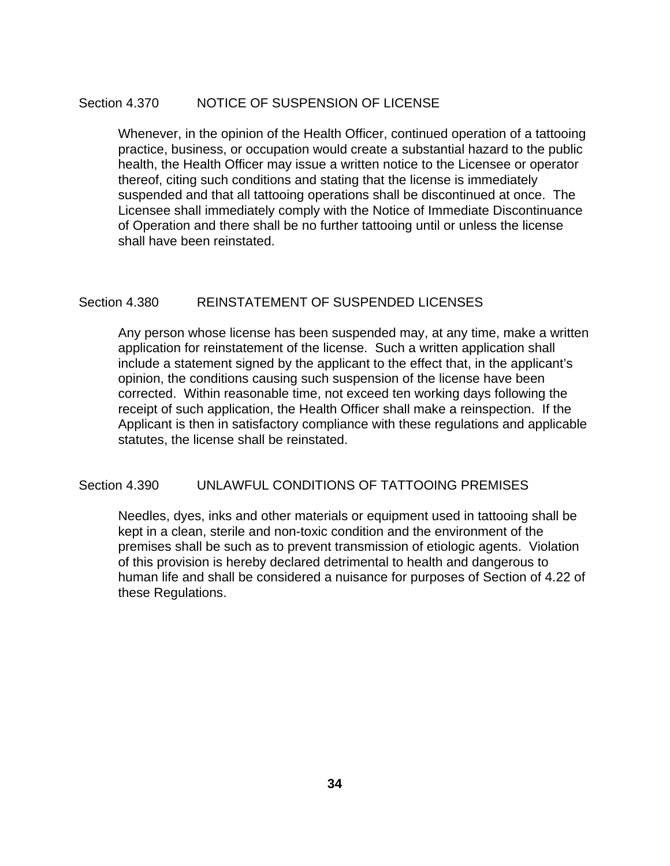## Section 4.370 NOTICE OF SUSPENSION OF LICENSE

Whenever, in the opinion of the Health Officer, continued operation of a tattooing practice, business, or occupation would create a substantial hazard to the public health, the Health Officer may issue a written notice to the Licensee or operator thereof, citing such conditions and stating that the license is immediately suspended and that all tattooing operations shall be discontinued at once. The Licensee shall immediately comply with the Notice of Immediate Discontinuance of Operation and there shall be no further tattooing until or unless the license shall have been reinstated.

## Section 4.380 REINSTATEMENT OF SUSPENDED LICENSES

Any person whose license has been suspended may, at any time, make a written application for reinstatement of the license. Such a written application shall include a statement signed by the applicant to the effect that, in the applicant's opinion, the conditions causing such suspension of the license have been corrected. Within reasonable time, not exceed ten working days following the receipt of such application, the Health Officer shall make a reinspection. If the Applicant is then in satisfactory compliance with these regulations and applicable statutes, the license shall be reinstated.

## Section 4.390 UNLAWFUL CONDITIONS OF TATTOOING PREMISES

Needles, dyes, inks and other materials or equipment used in tattooing shall be kept in a clean, sterile and non-toxic condition and the environment of the premises shall be such as to prevent transmission of etiologic agents. Violation of this provision is hereby declared detrimental to health and dangerous to human life and shall be considered a nuisance for purposes of Section of 4.22 of these Regulations.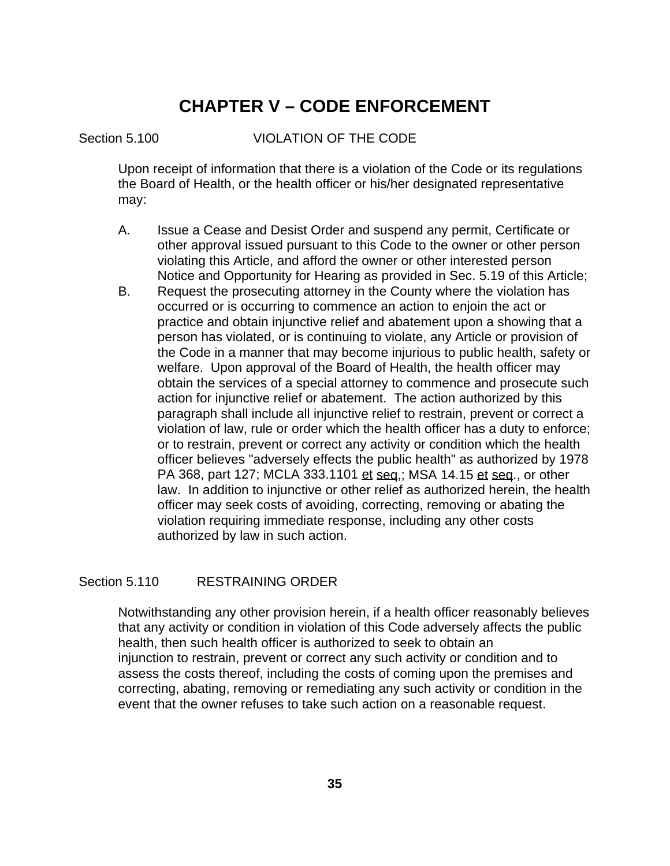# **CHAPTER V – CODE ENFORCEMENT**

## Section 5.100 VIOLATION OF THE CODE

 Upon receipt of information that there is a violation of the Code or its regulations the Board of Health, or the health officer or his/her designated representative may:

- A. Issue a Cease and Desist Order and suspend any permit, Certificate or other approval issued pursuant to this Code to the owner or other person violating this Article, and afford the owner or other interested person Notice and Opportunity for Hearing as provided in Sec. 5.19 of this Article;
- B. Request the prosecuting attorney in the County where the violation has occurred or is occurring to commence an action to enjoin the act or practice and obtain injunctive relief and abatement upon a showing that a person has violated, or is continuing to violate, any Article or provision of the Code in a manner that may become injurious to public health, safety or welfare. Upon approval of the Board of Health, the health officer may obtain the services of a special attorney to commence and prosecute such action for injunctive relief or abatement. The action authorized by this paragraph shall include all injunctive relief to restrain, prevent or correct a violation of law, rule or order which the health officer has a duty to enforce; or to restrain, prevent or correct any activity or condition which the health officer believes "adversely effects the public health" as authorized by 1978 PA 368, part 127; MCLA 333.1101 et seq.; MSA 14.15 et seq., or other law. In addition to injunctive or other relief as authorized herein, the health officer may seek costs of avoiding, correcting, removing or abating the violation requiring immediate response, including any other costs authorized by law in such action.

## Section 5.110 RESTRAINING ORDER

 Notwithstanding any other provision herein, if a health officer reasonably believes that any activity or condition in violation of this Code adversely affects the public health, then such health officer is authorized to seek to obtain an injunction to restrain, prevent or correct any such activity or condition and to assess the costs thereof, including the costs of coming upon the premises and correcting, abating, removing or remediating any such activity or condition in the event that the owner refuses to take such action on a reasonable request.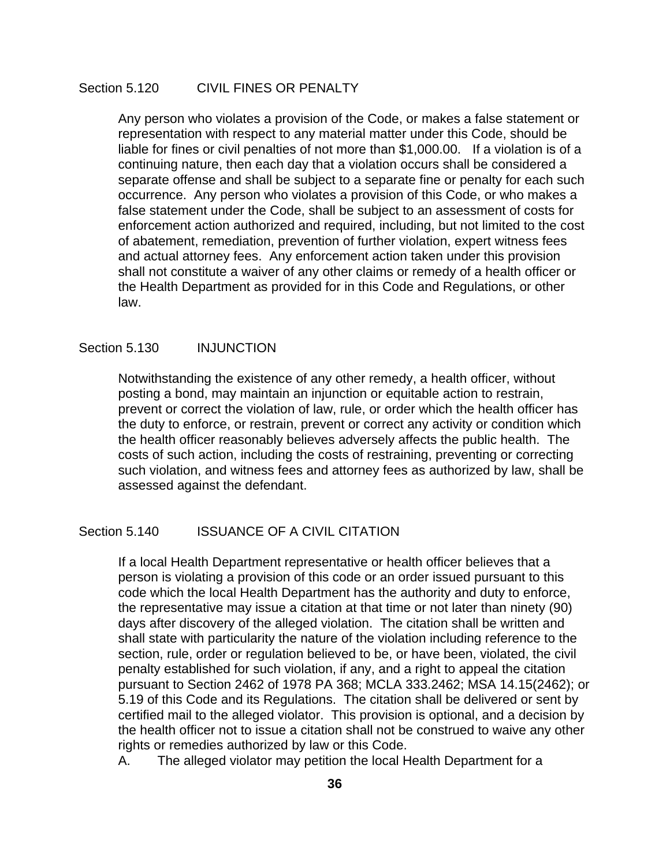## Section 5.120 CIVIL FINES OR PENALTY

 Any person who violates a provision of the Code, or makes a false statement or representation with respect to any material matter under this Code, should be liable for fines or civil penalties of not more than \$1,000.00. If a violation is of a continuing nature, then each day that a violation occurs shall be considered a separate offense and shall be subject to a separate fine or penalty for each such occurrence. Any person who violates a provision of this Code, or who makes a false statement under the Code, shall be subject to an assessment of costs for enforcement action authorized and required, including, but not limited to the cost of abatement, remediation, prevention of further violation, expert witness fees and actual attorney fees. Any enforcement action taken under this provision shall not constitute a waiver of any other claims or remedy of a health officer or the Health Department as provided for in this Code and Regulations, or other law.

#### Section 5.130 INJUNCTION

 Notwithstanding the existence of any other remedy, a health officer, without posting a bond, may maintain an injunction or equitable action to restrain, prevent or correct the violation of law, rule, or order which the health officer has the duty to enforce, or restrain, prevent or correct any activity or condition which the health officer reasonably believes adversely affects the public health. The costs of such action, including the costs of restraining, preventing or correcting such violation, and witness fees and attorney fees as authorized by law, shall be assessed against the defendant.

## Section 5.140 **ISSUANCE OF A CIVIL CITATION**

 If a local Health Department representative or health officer believes that a person is violating a provision of this code or an order issued pursuant to this code which the local Health Department has the authority and duty to enforce, the representative may issue a citation at that time or not later than ninety (90) days after discovery of the alleged violation. The citation shall be written and shall state with particularity the nature of the violation including reference to the section, rule, order or regulation believed to be, or have been, violated, the civil penalty established for such violation, if any, and a right to appeal the citation pursuant to Section 2462 of 1978 PA 368; MCLA 333.2462; MSA 14.15(2462); or 5.19 of this Code and its Regulations. The citation shall be delivered or sent by certified mail to the alleged violator. This provision is optional, and a decision by the health officer not to issue a citation shall not be construed to waive any other rights or remedies authorized by law or this Code.

A. The alleged violator may petition the local Health Department for a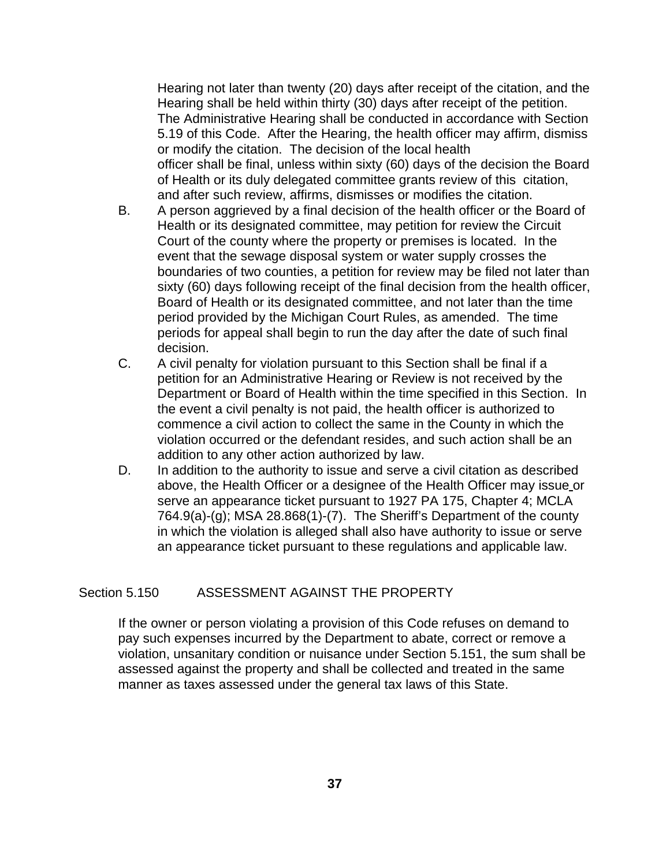Hearing not later than twenty (20) days after receipt of the citation, and the Hearing shall be held within thirty (30) days after receipt of the petition. The Administrative Hearing shall be conducted in accordance with Section 5.19 of this Code. After the Hearing, the health officer may affirm, dismiss or modify the citation. The decision of the local health officer shall be final, unless within sixty (60) days of the decision the Board of Health or its duly delegated committee grants review of this citation, and after such review, affirms, dismisses or modifies the citation.

- B. A person aggrieved by a final decision of the health officer or the Board of Health or its designated committee, may petition for review the Circuit Court of the county where the property or premises is located. In the event that the sewage disposal system or water supply crosses the boundaries of two counties, a petition for review may be filed not later than sixty (60) days following receipt of the final decision from the health officer, Board of Health or its designated committee, and not later than the time period provided by the Michigan Court Rules, as amended. The time periods for appeal shall begin to run the day after the date of such final decision.
- C. A civil penalty for violation pursuant to this Section shall be final if a petition for an Administrative Hearing or Review is not received by the Department or Board of Health within the time specified in this Section. In the event a civil penalty is not paid, the health officer is authorized to commence a civil action to collect the same in the County in which the violation occurred or the defendant resides, and such action shall be an addition to any other action authorized by law.
- D. In addition to the authority to issue and serve a civil citation as described above, the Health Officer or a designee of the Health Officer may issue or serve an appearance ticket pursuant to 1927 PA 175, Chapter 4; MCLA 764.9(a)-(g); MSA 28.868(1)-(7). The Sheriff's Department of the county in which the violation is alleged shall also have authority to issue or serve an appearance ticket pursuant to these regulations and applicable law.

#### Section 5.150 ASSESSMENT AGAINST THE PROPERTY

 If the owner or person violating a provision of this Code refuses on demand to pay such expenses incurred by the Department to abate, correct or remove a violation, unsanitary condition or nuisance under Section 5.151, the sum shall be assessed against the property and shall be collected and treated in the same manner as taxes assessed under the general tax laws of this State.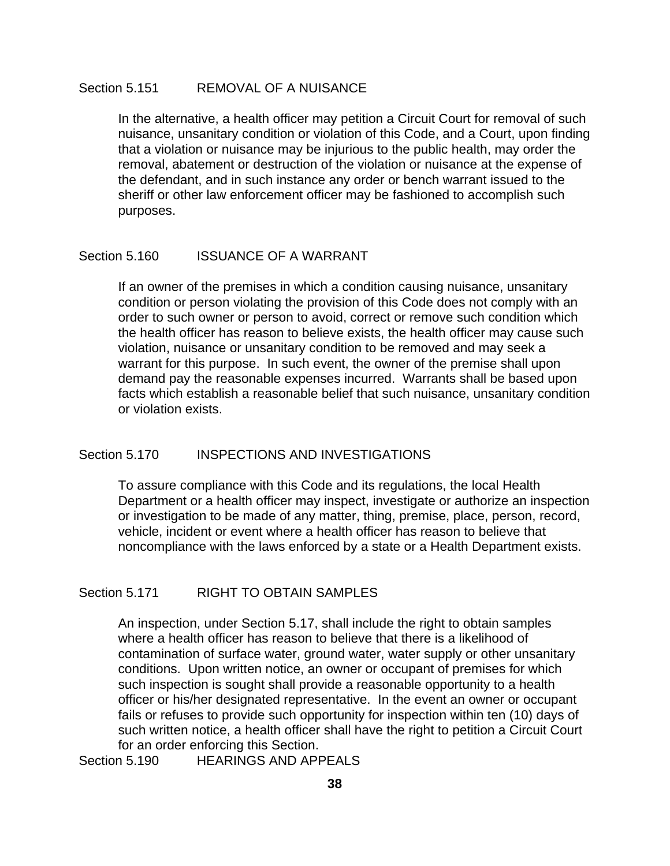### Section 5.151 REMOVAL OF A NUISANCE

 In the alternative, a health officer may petition a Circuit Court for removal of such nuisance, unsanitary condition or violation of this Code, and a Court, upon finding that a violation or nuisance may be injurious to the public health, may order the removal, abatement or destruction of the violation or nuisance at the expense of the defendant, and in such instance any order or bench warrant issued to the sheriff or other law enforcement officer may be fashioned to accomplish such purposes.

#### Section 5.160 **ISSUANCE OF A WARRANT**

 If an owner of the premises in which a condition causing nuisance, unsanitary condition or person violating the provision of this Code does not comply with an order to such owner or person to avoid, correct or remove such condition which the health officer has reason to believe exists, the health officer may cause such violation, nuisance or unsanitary condition to be removed and may seek a warrant for this purpose. In such event, the owner of the premise shall upon demand pay the reasonable expenses incurred. Warrants shall be based upon facts which establish a reasonable belief that such nuisance, unsanitary condition or violation exists.

## Section 5.170 INSPECTIONS AND INVESTIGATIONS

 To assure compliance with this Code and its regulations, the local Health Department or a health officer may inspect, investigate or authorize an inspection or investigation to be made of any matter, thing, premise, place, person, record, vehicle, incident or event where a health officer has reason to believe that noncompliance with the laws enforced by a state or a Health Department exists.

## Section 5.171 RIGHT TO OBTAIN SAMPLES

 An inspection, under Section 5.17, shall include the right to obtain samples where a health officer has reason to believe that there is a likelihood of contamination of surface water, ground water, water supply or other unsanitary conditions. Upon written notice, an owner or occupant of premises for which such inspection is sought shall provide a reasonable opportunity to a health officer or his/her designated representative. In the event an owner or occupant fails or refuses to provide such opportunity for inspection within ten (10) days of such written notice, a health officer shall have the right to petition a Circuit Court for an order enforcing this Section.

Section 5.190 HEARINGS AND APPEALS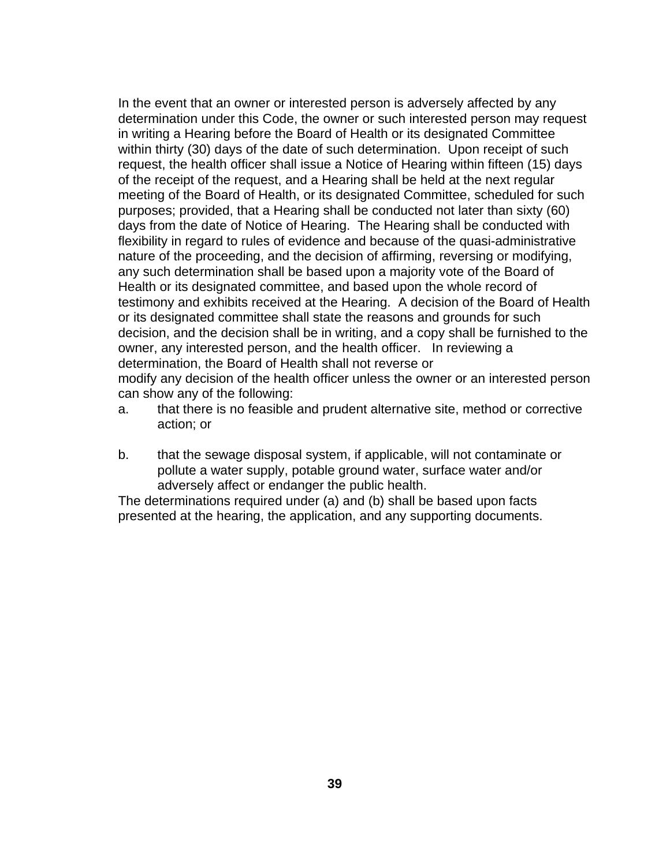In the event that an owner or interested person is adversely affected by any determination under this Code, the owner or such interested person may request in writing a Hearing before the Board of Health or its designated Committee within thirty (30) days of the date of such determination. Upon receipt of such request, the health officer shall issue a Notice of Hearing within fifteen (15) days of the receipt of the request, and a Hearing shall be held at the next regular meeting of the Board of Health, or its designated Committee, scheduled for such purposes; provided, that a Hearing shall be conducted not later than sixty (60) days from the date of Notice of Hearing. The Hearing shall be conducted with flexibility in regard to rules of evidence and because of the quasi-administrative nature of the proceeding, and the decision of affirming, reversing or modifying, any such determination shall be based upon a majority vote of the Board of Health or its designated committee, and based upon the whole record of testimony and exhibits received at the Hearing. A decision of the Board of Health or its designated committee shall state the reasons and grounds for such decision, and the decision shall be in writing, and a copy shall be furnished to the owner, any interested person, and the health officer. In reviewing a determination, the Board of Health shall not reverse or modify any decision of the health officer unless the owner or an interested person can show any of the following:

- a. that there is no feasible and prudent alternative site, method or corrective action; or
- b. that the sewage disposal system, if applicable, will not contaminate or pollute a water supply, potable ground water, surface water and/or adversely affect or endanger the public health.

 The determinations required under (a) and (b) shall be based upon facts presented at the hearing, the application, and any supporting documents.